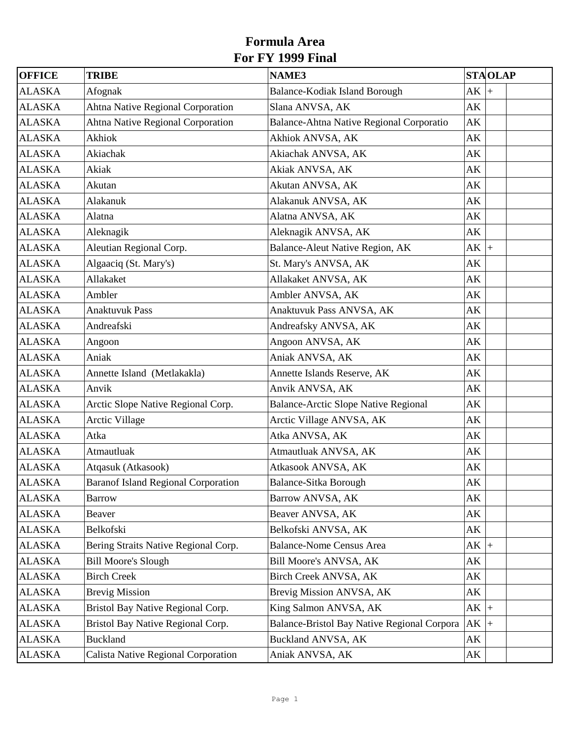| <b>OFFICE</b> | <b>TRIBE</b>                               | <b>NAME3</b>                                | <b>STAOLAP</b>         |  |
|---------------|--------------------------------------------|---------------------------------------------|------------------------|--|
| <b>ALASKA</b> | Afognak                                    | Balance-Kodiak Island Borough               | AK<br>$\ddot{}$        |  |
| <b>ALASKA</b> | Ahtna Native Regional Corporation          | Slana ANVSA, AK                             | AK                     |  |
| <b>ALASKA</b> | <b>Ahtna Native Regional Corporation</b>   | Balance-Ahtna Native Regional Corporatio    | AK                     |  |
| <b>ALASKA</b> | Akhiok                                     | Akhiok ANVSA, AK                            | AK                     |  |
| <b>ALASKA</b> | Akiachak                                   | Akiachak ANVSA, AK                          | AK                     |  |
| <b>ALASKA</b> | Akiak                                      | Akiak ANVSA, AK                             | AK                     |  |
| <b>ALASKA</b> | Akutan                                     | Akutan ANVSA, AK                            | AK                     |  |
| <b>ALASKA</b> | Alakanuk                                   | Alakanuk ANVSA, AK                          | AK                     |  |
| <b>ALASKA</b> | Alatna                                     | Alatna ANVSA, AK                            | AK                     |  |
| <b>ALASKA</b> | Aleknagik                                  | Aleknagik ANVSA, AK                         | AK                     |  |
| <b>ALASKA</b> | Aleutian Regional Corp.                    | Balance-Aleut Native Region, AK             | AK<br>$+$              |  |
| <b>ALASKA</b> | Algaaciq (St. Mary's)                      | St. Mary's ANVSA, AK                        | AK                     |  |
| <b>ALASKA</b> | Allakaket                                  | Allakaket ANVSA, AK                         | AK                     |  |
| <b>ALASKA</b> | Ambler                                     | Ambler ANVSA, AK                            | AK                     |  |
| <b>ALASKA</b> | <b>Anaktuvuk Pass</b>                      | Anaktuvuk Pass ANVSA, AK                    | AK                     |  |
| <b>ALASKA</b> | Andreafski                                 | Andreafsky ANVSA, AK                        | AK                     |  |
| <b>ALASKA</b> | Angoon                                     | Angoon ANVSA, AK                            | AK                     |  |
| <b>ALASKA</b> | Aniak                                      | Aniak ANVSA, AK                             | AK                     |  |
| <b>ALASKA</b> | Annette Island (Metlakakla)                | Annette Islands Reserve, AK                 | AK                     |  |
| <b>ALASKA</b> | Anvik                                      | Anvik ANVSA, AK                             | AK                     |  |
| <b>ALASKA</b> | Arctic Slope Native Regional Corp.         | Balance-Arctic Slope Native Regional        | AK                     |  |
| <b>ALASKA</b> | <b>Arctic Village</b>                      | Arctic Village ANVSA, AK                    | AK                     |  |
| <b>ALASKA</b> | Atka                                       | Atka ANVSA, AK                              | AK                     |  |
| <b>ALASKA</b> | Atmautluak                                 | Atmautluak ANVSA, AK                        | AK                     |  |
| <b>ALASKA</b> | Atqasuk (Atkasook)                         | Atkasook ANVSA, AK                          | AK                     |  |
| <b>ALASKA</b> | <b>Baranof Island Regional Corporation</b> | <b>Balance-Sitka Borough</b>                | $\mathbf{A}\mathbf{K}$ |  |
| <b>ALASKA</b> | Barrow                                     | Barrow ANVSA, AK                            | AK                     |  |
| <b>ALASKA</b> | Beaver                                     | Beaver ANVSA, AK                            | AK                     |  |
| <b>ALASKA</b> | Belkofski                                  | Belkofski ANVSA, AK                         | AK                     |  |
| <b>ALASKA</b> | Bering Straits Native Regional Corp.       | <b>Balance-Nome Census Area</b>             | $AK$ +                 |  |
| <b>ALASKA</b> | <b>Bill Moore's Slough</b>                 | Bill Moore's ANVSA, AK                      | AK                     |  |
| <b>ALASKA</b> | <b>Birch Creek</b>                         | Birch Creek ANVSA, AK                       | AK                     |  |
| <b>ALASKA</b> | <b>Brevig Mission</b>                      | Brevig Mission ANVSA, AK                    | AK                     |  |
| <b>ALASKA</b> | Bristol Bay Native Regional Corp.          | King Salmon ANVSA, AK                       | $AK$ +                 |  |
| <b>ALASKA</b> | Bristol Bay Native Regional Corp.          | Balance-Bristol Bay Native Regional Corpora | $AK$ +                 |  |
| <b>ALASKA</b> | <b>Buckland</b>                            | <b>Buckland ANVSA, AK</b>                   | AK                     |  |
| <b>ALASKA</b> | Calista Native Regional Corporation        | Aniak ANVSA, AK                             | AK                     |  |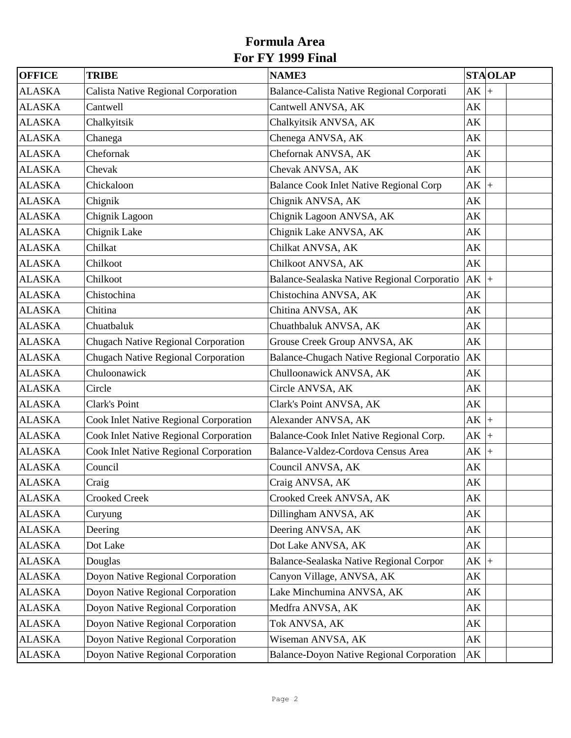| <b>OFFICE</b> | <b>TRIBE</b>                                  | <b>NAME3</b>                                   |        | <b>STAOLAP</b> |
|---------------|-----------------------------------------------|------------------------------------------------|--------|----------------|
| <b>ALASKA</b> | Calista Native Regional Corporation           | Balance-Calista Native Regional Corporati      | AK     | $+$            |
| <b>ALASKA</b> | Cantwell                                      | Cantwell ANVSA, AK                             | AK     |                |
| <b>ALASKA</b> | Chalkyitsik                                   | Chalkyitsik ANVSA, AK                          | AK     |                |
| <b>ALASKA</b> | Chanega                                       | Chenega ANVSA, AK                              | AK     |                |
| <b>ALASKA</b> | Chefornak                                     | Chefornak ANVSA, AK                            | AK     |                |
| <b>ALASKA</b> | Chevak                                        | Chevak ANVSA, AK                               | AK     |                |
| <b>ALASKA</b> | Chickaloon                                    | <b>Balance Cook Inlet Native Regional Corp</b> | $AK$ + |                |
| <b>ALASKA</b> | Chignik                                       | Chignik ANVSA, AK                              | AK     |                |
| <b>ALASKA</b> | Chignik Lagoon                                | Chignik Lagoon ANVSA, AK                       | AK     |                |
| <b>ALASKA</b> | Chignik Lake                                  | Chignik Lake ANVSA, AK                         | AK     |                |
| <b>ALASKA</b> | Chilkat                                       | Chilkat ANVSA, AK                              | AK     |                |
| <b>ALASKA</b> | Chilkoot                                      | Chilkoot ANVSA, AK                             | AK     |                |
| <b>ALASKA</b> | Chilkoot                                      | Balance-Sealaska Native Regional Corporatio    | $AK$ + |                |
| <b>ALASKA</b> | Chistochina                                   | Chistochina ANVSA, AK                          | AK     |                |
| <b>ALASKA</b> | Chitina                                       | Chitina ANVSA, AK                              | AK     |                |
| <b>ALASKA</b> | Chuatbaluk                                    | Chuathbaluk ANVSA, AK                          | AK     |                |
| <b>ALASKA</b> | <b>Chugach Native Regional Corporation</b>    | Grouse Creek Group ANVSA, AK                   | AK     |                |
| <b>ALASKA</b> | <b>Chugach Native Regional Corporation</b>    | Balance-Chugach Native Regional Corporatio     | AK     |                |
| <b>ALASKA</b> | Chuloonawick                                  | Chulloonawick ANVSA, AK                        | AK     |                |
| <b>ALASKA</b> | Circle                                        | Circle ANVSA, AK                               | AK     |                |
| <b>ALASKA</b> | Clark's Point                                 | Clark's Point ANVSA, AK                        | AK     |                |
| <b>ALASKA</b> | Cook Inlet Native Regional Corporation        | Alexander ANVSA, AK                            | $AK$ + |                |
| <b>ALASKA</b> | <b>Cook Inlet Native Regional Corporation</b> | Balance-Cook Inlet Native Regional Corp.       | $AK$ + |                |
| <b>ALASKA</b> | Cook Inlet Native Regional Corporation        | Balance-Valdez-Cordova Census Area             | $AK$ + |                |
| <b>ALASKA</b> | Council                                       | Council ANVSA, AK                              | AK     |                |
| <b>ALASKA</b> | Craig                                         | Craig ANVSA, AK                                | AK     |                |
| <b>ALASKA</b> | <b>Crooked Creek</b>                          | Crooked Creek ANVSA, AK                        | AK     |                |
| <b>ALASKA</b> | Curyung                                       | Dillingham ANVSA, AK                           | AK     |                |
| <b>ALASKA</b> | Deering                                       | Deering ANVSA, AK                              | AK     |                |
| <b>ALASKA</b> | Dot Lake                                      | Dot Lake ANVSA, AK                             | AK     |                |
| <b>ALASKA</b> | Douglas                                       | Balance-Sealaska Native Regional Corpor        | $AK$ + |                |
| <b>ALASKA</b> | Doyon Native Regional Corporation             | Canyon Village, ANVSA, AK                      | AK     |                |
| <b>ALASKA</b> | Doyon Native Regional Corporation             | Lake Minchumina ANVSA, AK                      | AK     |                |
| <b>ALASKA</b> | Doyon Native Regional Corporation             | Medfra ANVSA, AK                               | AK     |                |
| <b>ALASKA</b> | Doyon Native Regional Corporation             | Tok ANVSA, AK                                  | AK     |                |
| <b>ALASKA</b> | Doyon Native Regional Corporation             | Wiseman ANVSA, AK                              | AK     |                |
| <b>ALASKA</b> | Doyon Native Regional Corporation             | Balance-Doyon Native Regional Corporation      | AK     |                |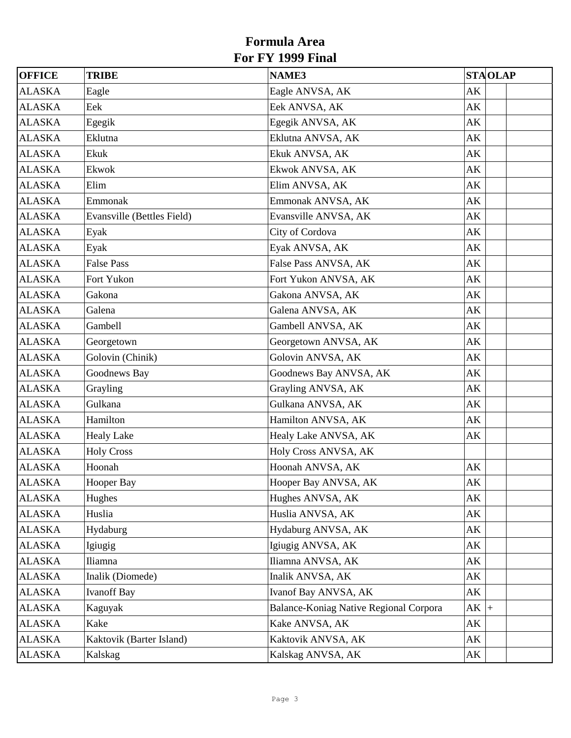| <b>OFFICE</b> | <b>TRIBE</b>               | <b>NAME3</b>                           | <b>STAOLAP</b> |
|---------------|----------------------------|----------------------------------------|----------------|
| <b>ALASKA</b> | Eagle                      | Eagle ANVSA, AK                        | AK             |
| <b>ALASKA</b> | Eek                        | Eek ANVSA, AK                          | AK             |
| <b>ALASKA</b> | Egegik                     | Egegik ANVSA, AK                       | AK             |
| <b>ALASKA</b> | Eklutna                    | Eklutna ANVSA, AK                      | AK             |
| <b>ALASKA</b> | Ekuk                       | Ekuk ANVSA, AK                         | AK             |
| <b>ALASKA</b> | Ekwok                      | Ekwok ANVSA, AK                        | AK             |
| <b>ALASKA</b> | Elim                       | Elim ANVSA, AK                         | AK             |
| <b>ALASKA</b> | Emmonak                    | Emmonak ANVSA, AK                      | AK             |
| <b>ALASKA</b> | Evansville (Bettles Field) | Evansville ANVSA, AK                   | AK             |
| <b>ALASKA</b> | Eyak                       | City of Cordova                        | AK             |
| <b>ALASKA</b> | Eyak                       | Eyak ANVSA, AK                         | AK             |
| <b>ALASKA</b> | <b>False Pass</b>          | False Pass ANVSA, AK                   | AK             |
| <b>ALASKA</b> | Fort Yukon                 | Fort Yukon ANVSA, AK                   | AK             |
| <b>ALASKA</b> | Gakona                     | Gakona ANVSA, AK                       | AK             |
| <b>ALASKA</b> | Galena                     | Galena ANVSA, AK                       | AK             |
| <b>ALASKA</b> | Gambell                    | Gambell ANVSA, AK                      | AK             |
| <b>ALASKA</b> | Georgetown                 | Georgetown ANVSA, AK                   | AK             |
| <b>ALASKA</b> | Golovin (Chinik)           | Golovin ANVSA, AK                      | AK             |
| <b>ALASKA</b> | Goodnews Bay               | Goodnews Bay ANVSA, AK                 | AK             |
| <b>ALASKA</b> | Grayling                   | Grayling ANVSA, AK                     | AK             |
| <b>ALASKA</b> | Gulkana                    | Gulkana ANVSA, AK                      | AK             |
| <b>ALASKA</b> | Hamilton                   | Hamilton ANVSA, AK                     | AK             |
| <b>ALASKA</b> | <b>Healy Lake</b>          | Healy Lake ANVSA, AK                   | AK             |
| <b>ALASKA</b> | <b>Holy Cross</b>          | Holy Cross ANVSA, AK                   |                |
| <b>ALASKA</b> | Hoonah                     | Hoonah ANVSA, AK                       | AK             |
| <b>ALASKA</b> | Hooper Bay                 | Hooper Bay ANVSA, AK                   | AK             |
| <b>ALASKA</b> | Hughes                     | Hughes ANVSA, AK                       | AK             |
| <b>ALASKA</b> | Huslia                     | Huslia ANVSA, AK                       | AK             |
| <b>ALASKA</b> | Hydaburg                   | Hydaburg ANVSA, AK                     | AK             |
| <b>ALASKA</b> | Igiugig                    | Igiugig ANVSA, AK                      | AK             |
| <b>ALASKA</b> | Iliamna                    | Iliamna ANVSA, AK                      | AK             |
| <b>ALASKA</b> | Inalik (Diomede)           | Inalik ANVSA, AK                       | AK             |
| <b>ALASKA</b> | <b>Ivanoff Bay</b>         | Ivanof Bay ANVSA, AK                   | AK             |
| <b>ALASKA</b> | Kaguyak                    | Balance-Koniag Native Regional Corpora | $AK$ +         |
| <b>ALASKA</b> | Kake                       | Kake ANVSA, AK                         | AK             |
| <b>ALASKA</b> | Kaktovik (Barter Island)   | Kaktovik ANVSA, AK                     | AK             |
| <b>ALASKA</b> | Kalskag                    | Kalskag ANVSA, AK                      | AK             |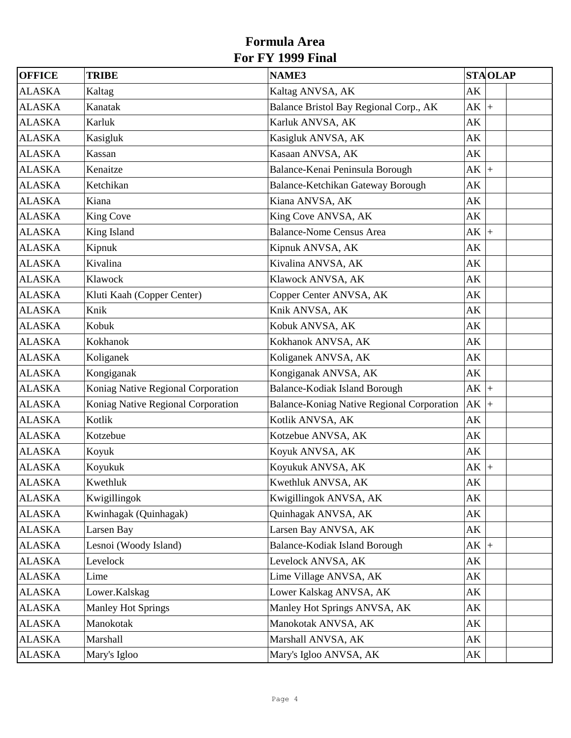| <b>OFFICE</b> | <b>TRIBE</b>                       | <b>NAME3</b>                               |                        | <b>STAOLAP</b>     |
|---------------|------------------------------------|--------------------------------------------|------------------------|--------------------|
| <b>ALASKA</b> | Kaltag                             | Kaltag ANVSA, AK                           | AK                     |                    |
| <b>ALASKA</b> | Kanatak                            | Balance Bristol Bay Regional Corp., AK     | $AK$ +                 |                    |
| <b>ALASKA</b> | Karluk                             | Karluk ANVSA, AK                           | AK                     |                    |
| <b>ALASKA</b> | Kasigluk                           | Kasigluk ANVSA, AK                         | AK                     |                    |
| <b>ALASKA</b> | Kassan                             | Kasaan ANVSA, AK                           | AK                     |                    |
| <b>ALASKA</b> | Kenaitze                           | Balance-Kenai Peninsula Borough            | AK                     | $\left  + \right $ |
| <b>ALASKA</b> | Ketchikan                          | Balance-Ketchikan Gateway Borough          | AK                     |                    |
| <b>ALASKA</b> | Kiana                              | Kiana ANVSA, AK                            | AK                     |                    |
| <b>ALASKA</b> | <b>King Cove</b>                   | King Cove ANVSA, AK                        | AK                     |                    |
| <b>ALASKA</b> | King Island                        | <b>Balance-Nome Census Area</b>            | $AK$ +                 |                    |
| <b>ALASKA</b> | Kipnuk                             | Kipnuk ANVSA, AK                           | AK                     |                    |
| <b>ALASKA</b> | Kivalina                           | Kivalina ANVSA, AK                         | AK                     |                    |
| <b>ALASKA</b> | Klawock                            | Klawock ANVSA, AK                          | AK                     |                    |
| <b>ALASKA</b> | Kluti Kaah (Copper Center)         | Copper Center ANVSA, AK                    | AK                     |                    |
| <b>ALASKA</b> | Knik                               | Knik ANVSA, AK                             | AK                     |                    |
| <b>ALASKA</b> | Kobuk                              | Kobuk ANVSA, AK                            | AK                     |                    |
| <b>ALASKA</b> | Kokhanok                           | Kokhanok ANVSA, AK                         | AK                     |                    |
| <b>ALASKA</b> | Koliganek                          | Koliganek ANVSA, AK                        | AK                     |                    |
| <b>ALASKA</b> | Kongiganak                         | Kongiganak ANVSA, AK                       | AK                     |                    |
| <b>ALASKA</b> | Koniag Native Regional Corporation | Balance-Kodiak Island Borough              | $AK$ +                 |                    |
| <b>ALASKA</b> | Koniag Native Regional Corporation | Balance-Koniag Native Regional Corporation | AK                     | $+$                |
| <b>ALASKA</b> | Kotlik                             | Kotlik ANVSA, AK                           | AK                     |                    |
| <b>ALASKA</b> | Kotzebue                           | Kotzebue ANVSA, AK                         | AK                     |                    |
| <b>ALASKA</b> | Koyuk                              | Koyuk ANVSA, AK                            | AK                     |                    |
| <b>ALASKA</b> | Koyukuk                            | Koyukuk ANVSA, AK                          | AK                     |                    |
| <b>ALASKA</b> | Kwethluk                           | Kwethluk ANVSA, AK                         | $\mathbf{A}\mathbf{K}$ |                    |
| <b>ALASKA</b> | Kwigillingok                       | Kwigillingok ANVSA, AK                     | AK                     |                    |
| <b>ALASKA</b> | Kwinhagak (Quinhagak)              | Quinhagak ANVSA, AK                        | AK                     |                    |
| <b>ALASKA</b> | Larsen Bay                         | Larsen Bay ANVSA, AK                       | AK                     |                    |
| <b>ALASKA</b> | Lesnoi (Woody Island)              | Balance-Kodiak Island Borough              | AK                     | $\left  + \right $ |
| <b>ALASKA</b> | Levelock                           | Levelock ANVSA, AK                         | AK                     |                    |
| <b>ALASKA</b> | Lime                               | Lime Village ANVSA, AK                     | AK                     |                    |
| <b>ALASKA</b> | Lower.Kalskag                      | Lower Kalskag ANVSA, AK                    | AK                     |                    |
| <b>ALASKA</b> | <b>Manley Hot Springs</b>          | Manley Hot Springs ANVSA, AK               | AK                     |                    |
| <b>ALASKA</b> | Manokotak                          | Manokotak ANVSA, AK                        | AK                     |                    |
| <b>ALASKA</b> | Marshall                           | Marshall ANVSA, AK                         | AK                     |                    |
| <b>ALASKA</b> | Mary's Igloo                       | Mary's Igloo ANVSA, AK                     | AK                     |                    |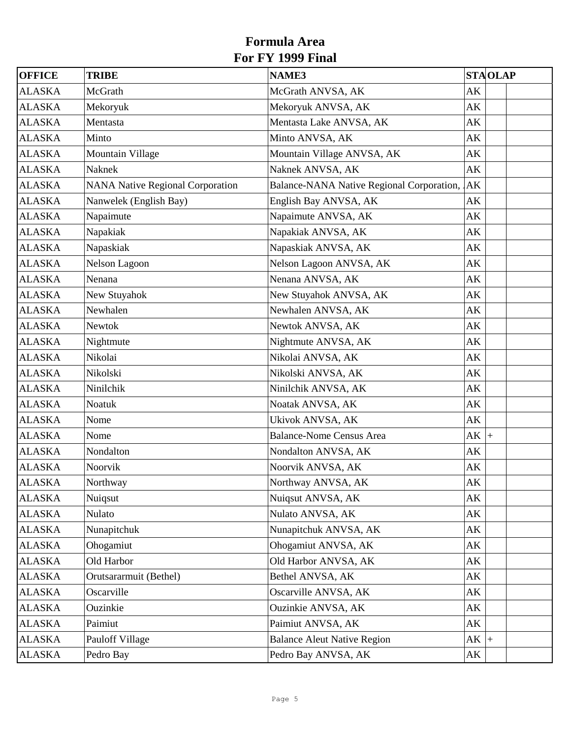| OFFICE        | <b>TRIBE</b>                            | NAME3                                     | <b>STAOLAP</b>         |
|---------------|-----------------------------------------|-------------------------------------------|------------------------|
| <b>ALASKA</b> | McGrath                                 | McGrath ANVSA, AK                         | AK                     |
| <b>ALASKA</b> | Mekoryuk                                | Mekoryuk ANVSA, AK                        | AK                     |
| <b>ALASKA</b> | Mentasta                                | Mentasta Lake ANVSA, AK                   | AK                     |
| <b>ALASKA</b> | Minto                                   | Minto ANVSA, AK                           | AK                     |
| <b>ALASKA</b> | Mountain Village                        | Mountain Village ANVSA, AK                | AK                     |
| <b>ALASKA</b> | Naknek                                  | Naknek ANVSA, AK                          | AK                     |
| <b>ALASKA</b> | <b>NANA Native Regional Corporation</b> | Balance-NANA Native Regional Corporation, | AK                     |
| <b>ALASKA</b> | Nanwelek (English Bay)                  | English Bay ANVSA, AK                     | AK                     |
| <b>ALASKA</b> | Napaimute                               | Napaimute ANVSA, AK                       | AK                     |
| <b>ALASKA</b> | Napakiak                                | Napakiak ANVSA, AK                        | AK                     |
| <b>ALASKA</b> | Napaskiak                               | Napaskiak ANVSA, AK                       | AK                     |
| <b>ALASKA</b> | Nelson Lagoon                           | Nelson Lagoon ANVSA, AK                   | AK                     |
| <b>ALASKA</b> | Nenana                                  | Nenana ANVSA, AK                          | AK                     |
| <b>ALASKA</b> | New Stuyahok                            | New Stuyahok ANVSA, AK                    | AK                     |
| <b>ALASKA</b> | Newhalen                                | Newhalen ANVSA, AK                        | AK                     |
| <b>ALASKA</b> | <b>Newtok</b>                           | Newtok ANVSA, AK                          | AK                     |
| <b>ALASKA</b> | Nightmute                               | Nightmute ANVSA, AK                       | AK                     |
| <b>ALASKA</b> | Nikolai                                 | Nikolai ANVSA, AK                         | AK                     |
| <b>ALASKA</b> | Nikolski                                | Nikolski ANVSA, AK                        | AK                     |
| <b>ALASKA</b> | Ninilchik                               | Ninilchik ANVSA, AK                       | AK                     |
| <b>ALASKA</b> | Noatuk                                  | Noatak ANVSA, AK                          | AK                     |
| <b>ALASKA</b> | Nome                                    | Ukivok ANVSA, AK                          | AK                     |
| <b>ALASKA</b> | Nome                                    | <b>Balance-Nome Census Area</b>           | $AK$ +                 |
| <b>ALASKA</b> | Nondalton                               | Nondalton ANVSA, AK                       | AK                     |
| <b>ALASKA</b> | Noorvik                                 | Noorvik ANVSA, AK                         | AK                     |
| <b>ALASKA</b> | Northway                                | Northway ANVSA, AK                        | $\mathbf{A}\mathbf{K}$ |
| <b>ALASKA</b> | Nuiqsut                                 | Nuiqsut ANVSA, AK                         | AK                     |
| <b>ALASKA</b> | Nulato                                  | Nulato ANVSA, AK                          | AK                     |
| <b>ALASKA</b> | Nunapitchuk                             | Nunapitchuk ANVSA, AK                     | AK                     |
| <b>ALASKA</b> | Ohogamiut                               | Ohogamiut ANVSA, AK                       | AK                     |
| <b>ALASKA</b> | Old Harbor                              | Old Harbor ANVSA, AK                      | AK                     |
| <b>ALASKA</b> | Orutsararmuit (Bethel)                  | Bethel ANVSA, AK                          | AK                     |
| <b>ALASKA</b> | Oscarville                              | Oscarville ANVSA, AK                      | AK                     |
| <b>ALASKA</b> | Ouzinkie                                | Ouzinkie ANVSA, AK                        | AK                     |
| <b>ALASKA</b> | Paimiut                                 | Paimiut ANVSA, AK                         | AK                     |
| <b>ALASKA</b> | Pauloff Village                         | <b>Balance Aleut Native Region</b>        | $AK$ +                 |
| <b>ALASKA</b> | Pedro Bay                               | Pedro Bay ANVSA, AK                       | AK                     |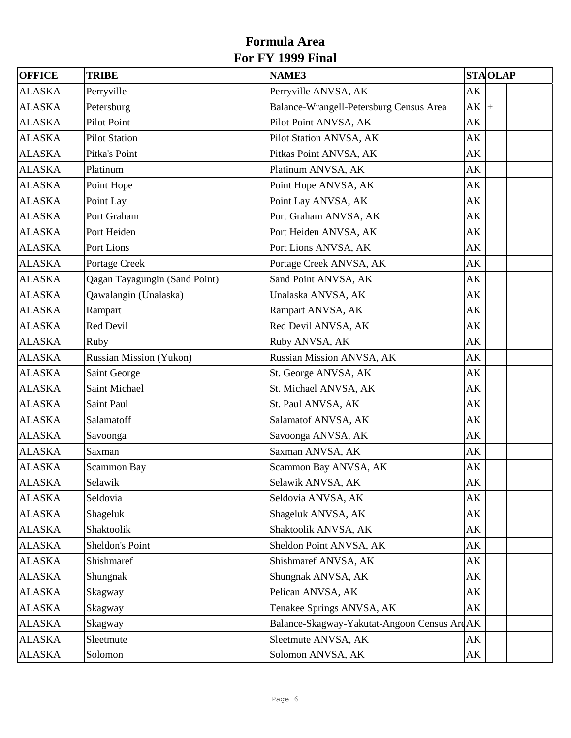| <b>OFFICE</b> | <b>TRIBE</b>                  | <b>NAME3</b>                                 | <b>STAOLAP</b> |
|---------------|-------------------------------|----------------------------------------------|----------------|
| <b>ALASKA</b> | Perryville                    | Perryville ANVSA, AK                         | AK             |
| <b>ALASKA</b> | Petersburg                    | Balance-Wrangell-Petersburg Census Area      | $AK$ +         |
| <b>ALASKA</b> | <b>Pilot Point</b>            | Pilot Point ANVSA, AK                        | AK             |
| <b>ALASKA</b> | <b>Pilot Station</b>          | Pilot Station ANVSA, AK                      | AK             |
| <b>ALASKA</b> | Pitka's Point                 | Pitkas Point ANVSA, AK                       | AK             |
| <b>ALASKA</b> | Platinum                      | Platinum ANVSA, AK                           | AK             |
| <b>ALASKA</b> | Point Hope                    | Point Hope ANVSA, AK                         | AK             |
| <b>ALASKA</b> | Point Lay                     | Point Lay ANVSA, AK                          | AK             |
| <b>ALASKA</b> | Port Graham                   | Port Graham ANVSA, AK                        | AK             |
| <b>ALASKA</b> | Port Heiden                   | Port Heiden ANVSA, AK                        | AK             |
| <b>ALASKA</b> | Port Lions                    | Port Lions ANVSA, AK                         | AK             |
| <b>ALASKA</b> | Portage Creek                 | Portage Creek ANVSA, AK                      | AK             |
| <b>ALASKA</b> | Qagan Tayagungin (Sand Point) | Sand Point ANVSA, AK                         | AK             |
| <b>ALASKA</b> | Qawalangin (Unalaska)         | Unalaska ANVSA, AK                           | AK             |
| <b>ALASKA</b> | Rampart                       | Rampart ANVSA, AK                            | AK             |
| <b>ALASKA</b> | Red Devil                     | Red Devil ANVSA, AK                          | AK             |
| <b>ALASKA</b> | Ruby                          | Ruby ANVSA, AK                               | AK             |
| <b>ALASKA</b> | Russian Mission (Yukon)       | Russian Mission ANVSA, AK                    | AK             |
| <b>ALASKA</b> | Saint George                  | St. George ANVSA, AK                         | AK             |
| <b>ALASKA</b> | Saint Michael                 | St. Michael ANVSA, AK                        | AK             |
| <b>ALASKA</b> | Saint Paul                    | St. Paul ANVSA, AK                           | AK             |
| <b>ALASKA</b> | Salamatoff                    | Salamatof ANVSA, AK                          | AK             |
| <b>ALASKA</b> | Savoonga                      | Savoonga ANVSA, AK                           | AK             |
| <b>ALASKA</b> | Saxman                        | Saxman ANVSA, AK                             | AK             |
| <b>ALASKA</b> | <b>Scammon Bay</b>            | Scammon Bay ANVSA, AK                        | AK             |
| <b>ALASKA</b> | Selawik                       | Selawik ANVSA, AK                            | AK             |
| <b>ALASKA</b> | Seldovia                      | Seldovia ANVSA, AK                           | AK             |
| <b>ALASKA</b> | Shageluk                      | Shageluk ANVSA, AK                           | AK             |
| <b>ALASKA</b> | Shaktoolik                    | Shaktoolik ANVSA, AK                         | AK             |
| <b>ALASKA</b> | Sheldon's Point               | Sheldon Point ANVSA, AK                      | AK             |
| <b>ALASKA</b> | Shishmaref                    | Shishmaref ANVSA, AK                         | AK             |
| <b>ALASKA</b> | Shungnak                      | Shungnak ANVSA, AK                           | AK             |
| <b>ALASKA</b> | Skagway                       | Pelican ANVSA, AK                            | AK             |
| <b>ALASKA</b> | Skagway                       | Tenakee Springs ANVSA, AK                    | AK             |
| <b>ALASKA</b> | Skagway                       | Balance-Skagway-Yakutat-Angoon Census Are AK |                |
| <b>ALASKA</b> | Sleetmute                     | Sleetmute ANVSA, AK                          | AK             |
| <b>ALASKA</b> | Solomon                       | Solomon ANVSA, AK                            | AK             |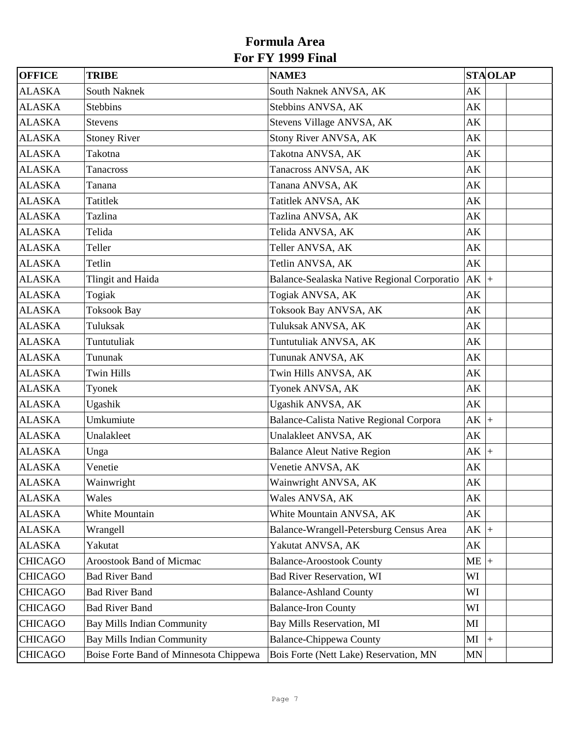| <b>OFFICE</b>  | <b>TRIBE</b>                           | <b>NAME3</b>                                |                        | <b>STAOLAP</b>     |
|----------------|----------------------------------------|---------------------------------------------|------------------------|--------------------|
| <b>ALASKA</b>  | <b>South Naknek</b>                    | South Naknek ANVSA, AK                      | AK                     |                    |
| <b>ALASKA</b>  | <b>Stebbins</b>                        | Stebbins ANVSA, AK                          | $\mathbf{A}\mathbf{K}$ |                    |
| <b>ALASKA</b>  | <b>Stevens</b>                         | Stevens Village ANVSA, AK                   | AK                     |                    |
| <b>ALASKA</b>  | <b>Stoney River</b>                    | Stony River ANVSA, AK                       | AK                     |                    |
| <b>ALASKA</b>  | Takotna                                | Takotna ANVSA, AK                           | AK                     |                    |
| <b>ALASKA</b>  | Tanacross                              | Tanacross ANVSA, AK                         | AK                     |                    |
| <b>ALASKA</b>  | Tanana                                 | Tanana ANVSA, AK                            | AK                     |                    |
| <b>ALASKA</b>  | Tatitlek                               | Tatitlek ANVSA, AK                          | AK                     |                    |
| <b>ALASKA</b>  | Tazlina                                | Tazlina ANVSA, AK                           | AK                     |                    |
| <b>ALASKA</b>  | Telida                                 | Telida ANVSA, AK                            | AK                     |                    |
| <b>ALASKA</b>  | Teller                                 | Teller ANVSA, AK                            | AK                     |                    |
| <b>ALASKA</b>  | Tetlin                                 | Tetlin ANVSA, AK                            | AK                     |                    |
| <b>ALASKA</b>  | Tlingit and Haida                      | Balance-Sealaska Native Regional Corporatio | $AK$ +                 |                    |
| <b>ALASKA</b>  | Togiak                                 | Togiak ANVSA, AK                            | AK                     |                    |
| <b>ALASKA</b>  | <b>Toksook Bay</b>                     | Toksook Bay ANVSA, AK                       | AK                     |                    |
| <b>ALASKA</b>  | Tuluksak                               | Tuluksak ANVSA, AK                          | AK                     |                    |
| <b>ALASKA</b>  | Tuntutuliak                            | Tuntutuliak ANVSA, AK                       | AK                     |                    |
| <b>ALASKA</b>  | Tununak                                | Tununak ANVSA, AK                           | AK                     |                    |
| <b>ALASKA</b>  | <b>Twin Hills</b>                      | Twin Hills ANVSA, AK                        | AK                     |                    |
| <b>ALASKA</b>  | Tyonek                                 | Tyonek ANVSA, AK                            | AK                     |                    |
| <b>ALASKA</b>  | Ugashik                                | Ugashik ANVSA, AK                           | AK                     |                    |
| <b>ALASKA</b>  | Umkumiute                              | Balance-Calista Native Regional Corpora     | $AK$ +                 |                    |
| <b>ALASKA</b>  | Unalakleet                             | Unalakleet ANVSA, AK                        | AK                     |                    |
| <b>ALASKA</b>  | Unga                                   | <b>Balance Aleut Native Region</b>          | $AK$ +                 |                    |
| <b>ALASKA</b>  | Venetie                                | Venetie ANVSA, AK                           | AK                     |                    |
| <b>ALASKA</b>  | Wainwright                             | Wainwright ANVSA, AK                        | $\mathbf{A}\mathbf{K}$ |                    |
| <b>ALASKA</b>  | Wales                                  | Wales ANVSA, AK                             | AK                     |                    |
| <b>ALASKA</b>  | White Mountain                         | White Mountain ANVSA, AK                    | AK                     |                    |
| <b>ALASKA</b>  | Wrangell                               | Balance-Wrangell-Petersburg Census Area     | $AK$ +                 |                    |
| <b>ALASKA</b>  | Yakutat                                | Yakutat ANVSA, AK                           | AK                     |                    |
| <b>CHICAGO</b> | <b>Aroostook Band of Micmac</b>        | <b>Balance-Aroostook County</b>             | ME                     | $+$                |
| <b>CHICAGO</b> | <b>Bad River Band</b>                  | <b>Bad River Reservation, WI</b>            | WI                     |                    |
| <b>CHICAGO</b> | <b>Bad River Band</b>                  | <b>Balance-Ashland County</b>               | WI                     |                    |
| <b>CHICAGO</b> | <b>Bad River Band</b>                  | <b>Balance-Iron County</b>                  | WI                     |                    |
| <b>CHICAGO</b> | <b>Bay Mills Indian Community</b>      | Bay Mills Reservation, MI                   | MI                     |                    |
| <b>CHICAGO</b> | <b>Bay Mills Indian Community</b>      | <b>Balance-Chippewa County</b>              | MI                     | $\left  + \right $ |
| <b>CHICAGO</b> | Boise Forte Band of Minnesota Chippewa | Bois Forte (Nett Lake) Reservation, MN      | MN                     |                    |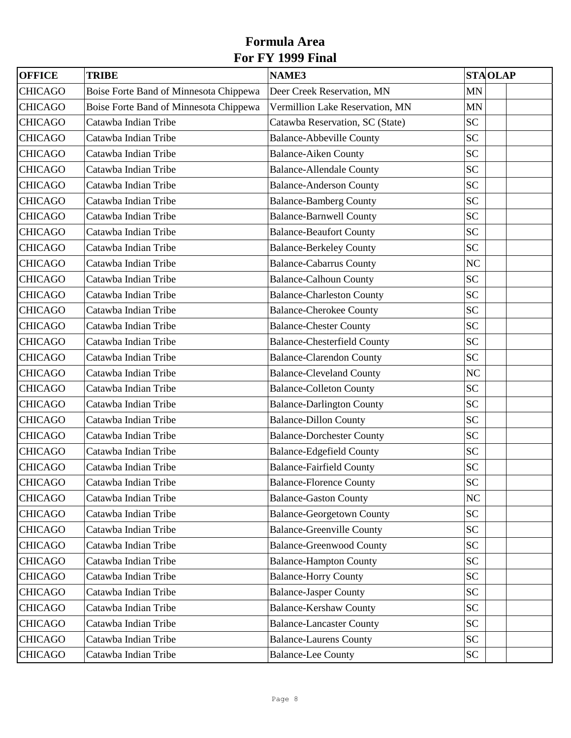| <b>OFFICE</b>  | <b>TRIBE</b>                           | <b>NAME3</b>                       | <b>STAOLAP</b> |
|----------------|----------------------------------------|------------------------------------|----------------|
| <b>CHICAGO</b> | Boise Forte Band of Minnesota Chippewa | Deer Creek Reservation, MN         | <b>MN</b>      |
| <b>CHICAGO</b> | Boise Forte Band of Minnesota Chippewa | Vermillion Lake Reservation, MN    | <b>MN</b>      |
| <b>CHICAGO</b> | Catawba Indian Tribe                   | Catawba Reservation, SC (State)    | <b>SC</b>      |
| <b>CHICAGO</b> | Catawba Indian Tribe                   | <b>Balance-Abbeville County</b>    | <b>SC</b>      |
| <b>CHICAGO</b> | Catawba Indian Tribe                   | <b>Balance-Aiken County</b>        | <b>SC</b>      |
| <b>CHICAGO</b> | Catawba Indian Tribe                   | <b>Balance-Allendale County</b>    | <b>SC</b>      |
| <b>CHICAGO</b> | Catawba Indian Tribe                   | <b>Balance-Anderson County</b>     | <b>SC</b>      |
| <b>CHICAGO</b> | Catawba Indian Tribe                   | <b>Balance-Bamberg County</b>      | <b>SC</b>      |
| <b>CHICAGO</b> | Catawba Indian Tribe                   | <b>Balance-Barnwell County</b>     | <b>SC</b>      |
| <b>CHICAGO</b> | Catawba Indian Tribe                   | <b>Balance-Beaufort County</b>     | <b>SC</b>      |
| <b>CHICAGO</b> | Catawba Indian Tribe                   | <b>Balance-Berkeley County</b>     | <b>SC</b>      |
| <b>CHICAGO</b> | Catawba Indian Tribe                   | <b>Balance-Cabarrus County</b>     | NC             |
| <b>CHICAGO</b> | Catawba Indian Tribe                   | <b>Balance-Calhoun County</b>      | <b>SC</b>      |
| <b>CHICAGO</b> | Catawba Indian Tribe                   | <b>Balance-Charleston County</b>   | <b>SC</b>      |
| <b>CHICAGO</b> | Catawba Indian Tribe                   | <b>Balance-Cherokee County</b>     | <b>SC</b>      |
| <b>CHICAGO</b> | Catawba Indian Tribe                   | <b>Balance-Chester County</b>      | <b>SC</b>      |
| <b>CHICAGO</b> | Catawba Indian Tribe                   | <b>Balance-Chesterfield County</b> | <b>SC</b>      |
| <b>CHICAGO</b> | Catawba Indian Tribe                   | <b>Balance-Clarendon County</b>    | <b>SC</b>      |
| <b>CHICAGO</b> | Catawba Indian Tribe                   | <b>Balance-Cleveland County</b>    | NC             |
| <b>CHICAGO</b> | Catawba Indian Tribe                   | <b>Balance-Colleton County</b>     | <b>SC</b>      |
| <b>CHICAGO</b> | Catawba Indian Tribe                   | <b>Balance-Darlington County</b>   | <b>SC</b>      |
| <b>CHICAGO</b> | Catawba Indian Tribe                   | <b>Balance-Dillon County</b>       | <b>SC</b>      |
| <b>CHICAGO</b> | Catawba Indian Tribe                   | <b>Balance-Dorchester County</b>   | <b>SC</b>      |
| <b>CHICAGO</b> | Catawba Indian Tribe                   | <b>Balance-Edgefield County</b>    | <b>SC</b>      |
| <b>CHICAGO</b> | Catawba Indian Tribe                   | <b>Balance-Fairfield County</b>    | <b>SC</b>      |
| <b>CHICAGO</b> | Catawba Indian Tribe                   | <b>Balance-Florence County</b>     | <b>SC</b>      |
| <b>CHICAGO</b> | Catawba Indian Tribe                   | <b>Balance-Gaston County</b>       | NC             |
| <b>CHICAGO</b> | Catawba Indian Tribe                   | <b>Balance-Georgetown County</b>   | <b>SC</b>      |
| <b>CHICAGO</b> | Catawba Indian Tribe                   | <b>Balance-Greenville County</b>   | <b>SC</b>      |
| <b>CHICAGO</b> | Catawba Indian Tribe                   | <b>Balance-Greenwood County</b>    | <b>SC</b>      |
| <b>CHICAGO</b> | Catawba Indian Tribe                   | <b>Balance-Hampton County</b>      | <b>SC</b>      |
| <b>CHICAGO</b> | Catawba Indian Tribe                   | <b>Balance-Horry County</b>        | <b>SC</b>      |
| <b>CHICAGO</b> | Catawba Indian Tribe                   | <b>Balance-Jasper County</b>       | <b>SC</b>      |
| <b>CHICAGO</b> | Catawba Indian Tribe                   | <b>Balance-Kershaw County</b>      | <b>SC</b>      |
| <b>CHICAGO</b> | Catawba Indian Tribe                   | <b>Balance-Lancaster County</b>    | <b>SC</b>      |
| <b>CHICAGO</b> | Catawba Indian Tribe                   | <b>Balance-Laurens County</b>      | <b>SC</b>      |
| <b>CHICAGO</b> | Catawba Indian Tribe                   | <b>Balance-Lee County</b>          | <b>SC</b>      |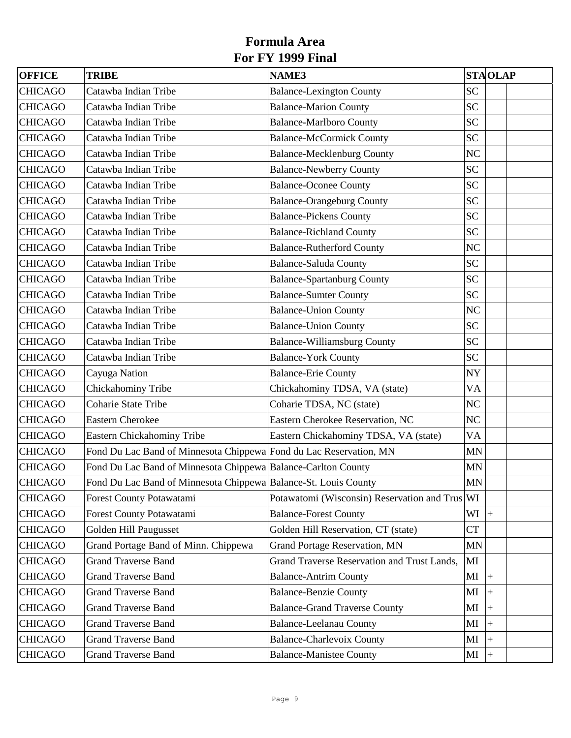| <b>OFFICE</b>  | <b>TRIBE</b>                                                       | <b>NAME3</b>                                   |                | <b>STAOLAP</b> |  |
|----------------|--------------------------------------------------------------------|------------------------------------------------|----------------|----------------|--|
| <b>CHICAGO</b> | Catawba Indian Tribe                                               | <b>Balance-Lexington County</b>                | <b>SC</b>      |                |  |
| <b>CHICAGO</b> | Catawba Indian Tribe                                               | <b>Balance-Marion County</b>                   | <b>SC</b>      |                |  |
| <b>CHICAGO</b> | Catawba Indian Tribe                                               | <b>Balance-Marlboro County</b>                 | <b>SC</b>      |                |  |
| <b>CHICAGO</b> | Catawba Indian Tribe                                               | <b>Balance-McCormick County</b>                | <b>SC</b>      |                |  |
| <b>CHICAGO</b> | Catawba Indian Tribe                                               | <b>Balance-Mecklenburg County</b>              | NC             |                |  |
| <b>CHICAGO</b> | Catawba Indian Tribe                                               | <b>Balance-Newberry County</b>                 | <b>SC</b>      |                |  |
| <b>CHICAGO</b> | Catawba Indian Tribe                                               | <b>Balance-Oconee County</b>                   | <b>SC</b>      |                |  |
| <b>CHICAGO</b> | Catawba Indian Tribe                                               | <b>Balance-Orangeburg County</b>               | <b>SC</b>      |                |  |
| <b>CHICAGO</b> | Catawba Indian Tribe                                               | <b>Balance-Pickens County</b>                  | <b>SC</b>      |                |  |
| <b>CHICAGO</b> | Catawba Indian Tribe                                               | <b>Balance-Richland County</b>                 | <b>SC</b>      |                |  |
| <b>CHICAGO</b> | Catawba Indian Tribe                                               | <b>Balance-Rutherford County</b>               | N <sub>C</sub> |                |  |
| <b>CHICAGO</b> | Catawba Indian Tribe                                               | <b>Balance-Saluda County</b>                   | <b>SC</b>      |                |  |
| <b>CHICAGO</b> | Catawba Indian Tribe                                               | <b>Balance-Spartanburg County</b>              | <b>SC</b>      |                |  |
| <b>CHICAGO</b> | Catawba Indian Tribe                                               | <b>Balance-Sumter County</b>                   | <b>SC</b>      |                |  |
| <b>CHICAGO</b> | Catawba Indian Tribe                                               | <b>Balance-Union County</b>                    | N <sub>C</sub> |                |  |
| <b>CHICAGO</b> | Catawba Indian Tribe                                               | <b>Balance-Union County</b>                    | <b>SC</b>      |                |  |
| <b>CHICAGO</b> | Catawba Indian Tribe                                               | <b>Balance-Williamsburg County</b>             | <b>SC</b>      |                |  |
| <b>CHICAGO</b> | Catawba Indian Tribe                                               | <b>Balance-York County</b>                     | <b>SC</b>      |                |  |
| <b>CHICAGO</b> | Cayuga Nation                                                      | <b>Balance-Erie County</b>                     | <b>NY</b>      |                |  |
| <b>CHICAGO</b> | Chickahominy Tribe                                                 | Chickahominy TDSA, VA (state)                  | VA             |                |  |
| <b>CHICAGO</b> | Coharie State Tribe                                                | Coharie TDSA, NC (state)                       | NC             |                |  |
| <b>CHICAGO</b> | <b>Eastern Cherokee</b>                                            | Eastern Cherokee Reservation, NC               | NC             |                |  |
| <b>CHICAGO</b> | Eastern Chickahominy Tribe                                         | Eastern Chickahominy TDSA, VA (state)          | VA             |                |  |
| <b>CHICAGO</b> | Fond Du Lac Band of Minnesota Chippewa Fond du Lac Reservation, MN |                                                | <b>MN</b>      |                |  |
| <b>CHICAGO</b> | Fond Du Lac Band of Minnesota Chippewa Balance-Carlton County      |                                                | <b>MN</b>      |                |  |
| <b>CHICAGO</b> | Fond Du Lac Band of Minnesota Chippewa Balance-St. Louis County    |                                                | MN             |                |  |
| <b>CHICAGO</b> | Forest County Potawatami                                           | Potawatomi (Wisconsin) Reservation and Trus WI |                |                |  |
| <b>CHICAGO</b> | Forest County Potawatami                                           | <b>Balance-Forest County</b>                   | WI             | $ +$           |  |
| <b>CHICAGO</b> | Golden Hill Paugusset                                              | Golden Hill Reservation, CT (state)            | <b>CT</b>      |                |  |
| <b>CHICAGO</b> | Grand Portage Band of Minn. Chippewa                               | <b>Grand Portage Reservation, MN</b>           | MN             |                |  |
| <b>CHICAGO</b> | <b>Grand Traverse Band</b>                                         | Grand Traverse Reservation and Trust Lands,    | MI             |                |  |
| <b>CHICAGO</b> | <b>Grand Traverse Band</b>                                         | <b>Balance-Antrim County</b>                   | МI             | $+$            |  |
| <b>CHICAGO</b> | <b>Grand Traverse Band</b>                                         | <b>Balance-Benzie County</b>                   | МI             | $+$            |  |
| <b>CHICAGO</b> | <b>Grand Traverse Band</b>                                         | <b>Balance-Grand Traverse County</b>           | ΜI             | $^{+}$         |  |
| <b>CHICAGO</b> | <b>Grand Traverse Band</b>                                         | <b>Balance-Leelanau County</b>                 | MI             | $+$            |  |
| <b>CHICAGO</b> | <b>Grand Traverse Band</b>                                         | <b>Balance-Charlevoix County</b>               | МI             | $+$            |  |
| <b>CHICAGO</b> | <b>Grand Traverse Band</b>                                         | <b>Balance-Manistee County</b>                 | MI             | $ +$           |  |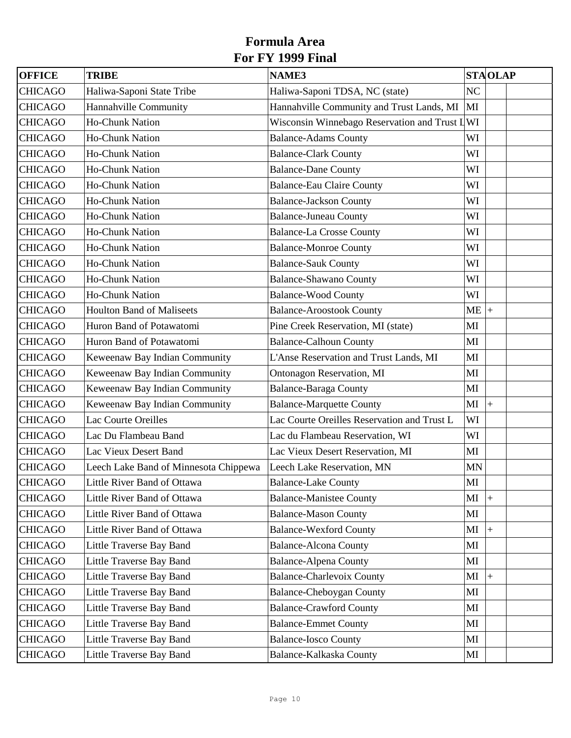| <b>OFFICE</b>  | <b>TRIBE</b>                          | <b>NAME3</b>                                  |           | <b>STAOLAP</b>     |
|----------------|---------------------------------------|-----------------------------------------------|-----------|--------------------|
| <b>CHICAGO</b> | Haliwa-Saponi State Tribe             | Haliwa-Saponi TDSA, NC (state)                | NC        |                    |
| <b>CHICAGO</b> | Hannahville Community                 | Hannahville Community and Trust Lands, MI     | MI        |                    |
| <b>CHICAGO</b> | Ho-Chunk Nation                       | Wisconsin Winnebago Reservation and Trust LWI |           |                    |
| <b>CHICAGO</b> | Ho-Chunk Nation                       | <b>Balance-Adams County</b>                   | WI        |                    |
| <b>CHICAGO</b> | Ho-Chunk Nation                       | <b>Balance-Clark County</b>                   | WI        |                    |
| <b>CHICAGO</b> | Ho-Chunk Nation                       | <b>Balance-Dane County</b>                    | WI        |                    |
| <b>CHICAGO</b> | Ho-Chunk Nation                       | <b>Balance-Eau Claire County</b>              | WI        |                    |
| <b>CHICAGO</b> | Ho-Chunk Nation                       | <b>Balance-Jackson County</b>                 | WI        |                    |
| <b>CHICAGO</b> | Ho-Chunk Nation                       | <b>Balance-Juneau County</b>                  | WI        |                    |
| <b>CHICAGO</b> | Ho-Chunk Nation                       | <b>Balance-La Crosse County</b>               | WI        |                    |
| <b>CHICAGO</b> | Ho-Chunk Nation                       | <b>Balance-Monroe County</b>                  | WI        |                    |
| <b>CHICAGO</b> | Ho-Chunk Nation                       | <b>Balance-Sauk County</b>                    | WI        |                    |
| <b>CHICAGO</b> | Ho-Chunk Nation                       | <b>Balance-Shawano County</b>                 | WI        |                    |
| <b>CHICAGO</b> | Ho-Chunk Nation                       | <b>Balance-Wood County</b>                    | WI        |                    |
| <b>CHICAGO</b> | <b>Houlton Band of Maliseets</b>      | <b>Balance-Aroostook County</b>               | ME        | $+$                |
| <b>CHICAGO</b> | Huron Band of Potawatomi              | Pine Creek Reservation, MI (state)            | MI        |                    |
| <b>CHICAGO</b> | Huron Band of Potawatomi              | <b>Balance-Calhoun County</b>                 | MI        |                    |
| <b>CHICAGO</b> | Keweenaw Bay Indian Community         | L'Anse Reservation and Trust Lands, MI        | MI        |                    |
| <b>CHICAGO</b> | Keweenaw Bay Indian Community         | <b>Ontonagon Reservation, MI</b>              | MI        |                    |
| <b>CHICAGO</b> | Keweenaw Bay Indian Community         | <b>Balance-Baraga County</b>                  | MI        |                    |
| <b>CHICAGO</b> | Keweenaw Bay Indian Community         | <b>Balance-Marquette County</b>               | МI        | $\ddot{}$          |
| <b>CHICAGO</b> | Lac Courte Oreilles                   | Lac Courte Oreilles Reservation and Trust L   | WI        |                    |
| <b>CHICAGO</b> | Lac Du Flambeau Band                  | Lac du Flambeau Reservation, WI               | WI        |                    |
| <b>CHICAGO</b> | Lac Vieux Desert Band                 | Lac Vieux Desert Reservation, MI              | MI        |                    |
| <b>CHICAGO</b> | Leech Lake Band of Minnesota Chippewa | Leech Lake Reservation, MN                    | <b>MN</b> |                    |
| <b>CHICAGO</b> | Little River Band of Ottawa           | <b>Balance-Lake County</b>                    | MI        |                    |
| <b>CHICAGO</b> | Little River Band of Ottawa           | <b>Balance-Manistee County</b>                | МI        | $\left  + \right $ |
| <b>CHICAGO</b> | Little River Band of Ottawa           | <b>Balance-Mason County</b>                   | MI        |                    |
| <b>CHICAGO</b> | Little River Band of Ottawa           | <b>Balance-Wexford County</b>                 | МI        | $+$                |
| <b>CHICAGO</b> | Little Traverse Bay Band              | <b>Balance-Alcona County</b>                  | MI        |                    |
| <b>CHICAGO</b> | Little Traverse Bay Band              | <b>Balance-Alpena County</b>                  | MI        |                    |
| <b>CHICAGO</b> | Little Traverse Bay Band              | <b>Balance-Charlevoix County</b>              | МI        | $+$                |
| <b>CHICAGO</b> | Little Traverse Bay Band              | <b>Balance-Cheboygan County</b>               | MI        |                    |
| <b>CHICAGO</b> | Little Traverse Bay Band              | <b>Balance-Crawford County</b>                | MI        |                    |
| <b>CHICAGO</b> | Little Traverse Bay Band              | <b>Balance-Emmet County</b>                   | MI        |                    |
| <b>CHICAGO</b> | Little Traverse Bay Band              | <b>Balance-Iosco County</b>                   | MI        |                    |
| <b>CHICAGO</b> | Little Traverse Bay Band              | Balance-Kalkaska County                       | MI        |                    |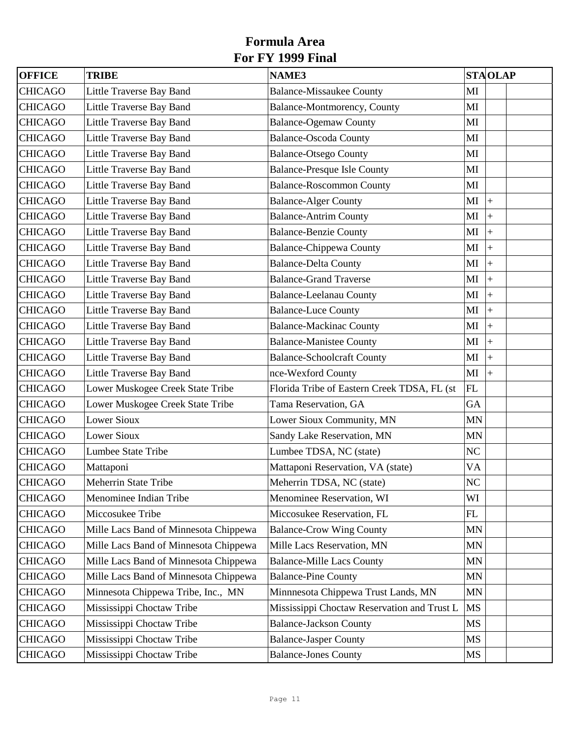| <b>OFFICE</b>  | <b>TRIBE</b>                          | <b>NAME3</b>                                |              | <b>STAOLAP</b> |  |
|----------------|---------------------------------------|---------------------------------------------|--------------|----------------|--|
| <b>CHICAGO</b> | Little Traverse Bay Band              | <b>Balance-Missaukee County</b>             | MI           |                |  |
| <b>CHICAGO</b> | Little Traverse Bay Band              | Balance-Montmorency, County                 | MI           |                |  |
| <b>CHICAGO</b> | Little Traverse Bay Band              | <b>Balance-Ogemaw County</b>                | MI           |                |  |
| <b>CHICAGO</b> | Little Traverse Bay Band              | <b>Balance-Oscoda County</b>                | MI           |                |  |
| <b>CHICAGO</b> | Little Traverse Bay Band              | <b>Balance-Otsego County</b>                | MI           |                |  |
| <b>CHICAGO</b> | Little Traverse Bay Band              | <b>Balance-Presque Isle County</b>          | MI           |                |  |
| <b>CHICAGO</b> | Little Traverse Bay Band              | <b>Balance-Roscommon County</b>             | MI           |                |  |
| <b>CHICAGO</b> | Little Traverse Bay Band              | <b>Balance-Alger County</b>                 | MI           | $\ddot{}$      |  |
| <b>CHICAGO</b> | Little Traverse Bay Band              | <b>Balance-Antrim County</b>                | MI           | $\ddot{+}$     |  |
| <b>CHICAGO</b> | Little Traverse Bay Band              | <b>Balance-Benzie County</b>                | MI           | $\ddot{}$      |  |
| <b>CHICAGO</b> | Little Traverse Bay Band              | <b>Balance-Chippewa County</b>              | MI           | $\ddot{}$      |  |
| <b>CHICAGO</b> | Little Traverse Bay Band              | <b>Balance-Delta County</b>                 | MI           | $\ddot{}$      |  |
| <b>CHICAGO</b> | Little Traverse Bay Band              | <b>Balance-Grand Traverse</b>               | MI           | $\ddot{}$      |  |
| <b>CHICAGO</b> | Little Traverse Bay Band              | <b>Balance-Leelanau County</b>              | $\mathbf{M}$ | $\ddot{+}$     |  |
| <b>CHICAGO</b> | Little Traverse Bay Band              | <b>Balance-Luce County</b>                  | MI           | $\ddot{}$      |  |
| <b>CHICAGO</b> | Little Traverse Bay Band              | <b>Balance-Mackinac County</b>              | MI           | $\ddot{}$      |  |
| <b>CHICAGO</b> | Little Traverse Bay Band              | <b>Balance-Manistee County</b>              | MI           | $\ddot{}$      |  |
| <b>CHICAGO</b> | Little Traverse Bay Band              | <b>Balance-Schoolcraft County</b>           | MI           | $\ddot{}$      |  |
| <b>CHICAGO</b> | Little Traverse Bay Band              | nce-Wexford County                          | MI           | $\ddot{+}$     |  |
| <b>CHICAGO</b> | Lower Muskogee Creek State Tribe      | Florida Tribe of Eastern Creek TDSA, FL (st | FL           |                |  |
| <b>CHICAGO</b> | Lower Muskogee Creek State Tribe      | Tama Reservation, GA                        | GA           |                |  |
| <b>CHICAGO</b> | <b>Lower Sioux</b>                    | Lower Sioux Community, MN                   | <b>MN</b>    |                |  |
| <b>CHICAGO</b> | <b>Lower Sioux</b>                    | Sandy Lake Reservation, MN                  | <b>MN</b>    |                |  |
| <b>CHICAGO</b> | Lumbee State Tribe                    | Lumbee TDSA, NC (state)                     | NC           |                |  |
| <b>CHICAGO</b> | Mattaponi                             | Mattaponi Reservation, VA (state)           | VA           |                |  |
| <b>CHICAGO</b> | Meherrin State Tribe                  | Meherrin TDSA, NC (state)                   | NC           |                |  |
| <b>CHICAGO</b> | Menominee Indian Tribe                | Menominee Reservation, WI                   | WI           |                |  |
| <b>CHICAGO</b> | Miccosukee Tribe                      | Miccosukee Reservation, FL                  | FL           |                |  |
| <b>CHICAGO</b> | Mille Lacs Band of Minnesota Chippewa | <b>Balance-Crow Wing County</b>             | <b>MN</b>    |                |  |
| <b>CHICAGO</b> | Mille Lacs Band of Minnesota Chippewa | Mille Lacs Reservation, MN                  | <b>MN</b>    |                |  |
| <b>CHICAGO</b> | Mille Lacs Band of Minnesota Chippewa | <b>Balance-Mille Lacs County</b>            | <b>MN</b>    |                |  |
| <b>CHICAGO</b> | Mille Lacs Band of Minnesota Chippewa | <b>Balance-Pine County</b>                  | <b>MN</b>    |                |  |
| <b>CHICAGO</b> | Minnesota Chippewa Tribe, Inc., MN    | Minnnesota Chippewa Trust Lands, MN         | <b>MN</b>    |                |  |
| <b>CHICAGO</b> | Mississippi Choctaw Tribe             | Mississippi Choctaw Reservation and Trust L | <b>MS</b>    |                |  |
| <b>CHICAGO</b> | Mississippi Choctaw Tribe             | <b>Balance-Jackson County</b>               | MS           |                |  |
| <b>CHICAGO</b> | Mississippi Choctaw Tribe             | <b>Balance-Jasper County</b>                | MS           |                |  |
| <b>CHICAGO</b> | Mississippi Choctaw Tribe             | <b>Balance-Jones County</b>                 | MS           |                |  |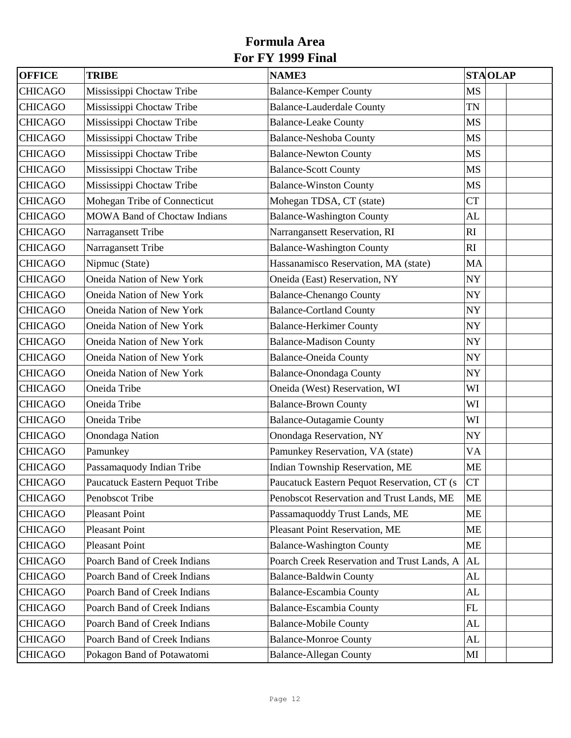| <b>OFFICE</b>  | <b>TRIBE</b>                        | <b>NAME3</b>                                 | <b>STAOLAP</b> |
|----------------|-------------------------------------|----------------------------------------------|----------------|
| <b>CHICAGO</b> | Mississippi Choctaw Tribe           | <b>Balance-Kemper County</b>                 | <b>MS</b>      |
| <b>CHICAGO</b> | Mississippi Choctaw Tribe           | <b>Balance-Lauderdale County</b>             | TN             |
| <b>CHICAGO</b> | Mississippi Choctaw Tribe           | <b>Balance-Leake County</b>                  | <b>MS</b>      |
| <b>CHICAGO</b> | Mississippi Choctaw Tribe           | <b>Balance-Neshoba County</b>                | <b>MS</b>      |
| <b>CHICAGO</b> | Mississippi Choctaw Tribe           | <b>Balance-Newton County</b>                 | <b>MS</b>      |
| <b>CHICAGO</b> | Mississippi Choctaw Tribe           | <b>Balance-Scott County</b>                  | <b>MS</b>      |
| <b>CHICAGO</b> | Mississippi Choctaw Tribe           | <b>Balance-Winston County</b>                | <b>MS</b>      |
| <b>CHICAGO</b> | Mohegan Tribe of Connecticut        | Mohegan TDSA, CT (state)                     | <b>CT</b>      |
| <b>CHICAGO</b> | <b>MOWA Band of Choctaw Indians</b> | <b>Balance-Washington County</b>             | AL             |
| <b>CHICAGO</b> | Narragansett Tribe                  | Narrangansett Reservation, RI                | RI             |
| <b>CHICAGO</b> | Narragansett Tribe                  | <b>Balance-Washington County</b>             | RI             |
| <b>CHICAGO</b> | Nipmuc (State)                      | Hassanamisco Reservation, MA (state)         | MA             |
| <b>CHICAGO</b> | Oneida Nation of New York           | Oneida (East) Reservation, NY                | <b>NY</b>      |
| <b>CHICAGO</b> | Oneida Nation of New York           | <b>Balance-Chenango County</b>               | NY             |
| <b>CHICAGO</b> | Oneida Nation of New York           | <b>Balance-Cortland County</b>               | NY             |
| <b>CHICAGO</b> | Oneida Nation of New York           | <b>Balance-Herkimer County</b>               | <b>NY</b>      |
| <b>CHICAGO</b> | Oneida Nation of New York           | <b>Balance-Madison County</b>                | NY             |
| <b>CHICAGO</b> | Oneida Nation of New York           | <b>Balance-Oneida County</b>                 | <b>NY</b>      |
| <b>CHICAGO</b> | Oneida Nation of New York           | <b>Balance-Onondaga County</b>               | NY             |
| <b>CHICAGO</b> | Oneida Tribe                        | Oneida (West) Reservation, WI                | WI             |
| <b>CHICAGO</b> | Oneida Tribe                        | <b>Balance-Brown County</b>                  | WI             |
| <b>CHICAGO</b> | Oneida Tribe                        | <b>Balance-Outagamie County</b>              | WI             |
| <b>CHICAGO</b> | Onondaga Nation                     | Onondaga Reservation, NY                     | <b>NY</b>      |
| <b>CHICAGO</b> | Pamunkey                            | Pamunkey Reservation, VA (state)             | VA             |
| <b>CHICAGO</b> | Passamaquody Indian Tribe           | Indian Township Reservation, ME              | <b>ME</b>      |
| <b>CHICAGO</b> | Paucatuck Eastern Pequot Tribe      | Paucatuck Eastern Pequot Reservation, CT (s) | <b>CT</b>      |
| <b>CHICAGO</b> | Penobscot Tribe                     | Penobscot Reservation and Trust Lands, ME    | ME             |
| <b>CHICAGO</b> | <b>Pleasant Point</b>               | Passamaquoddy Trust Lands, ME                | <b>ME</b>      |
| <b>CHICAGO</b> | <b>Pleasant Point</b>               | Pleasant Point Reservation, ME               | ME             |
| <b>CHICAGO</b> | <b>Pleasant Point</b>               | <b>Balance-Washington County</b>             | ME             |
| <b>CHICAGO</b> | Poarch Band of Creek Indians        | Poarch Creek Reservation and Trust Lands, A  | AL             |
| <b>CHICAGO</b> | Poarch Band of Creek Indians        | <b>Balance-Baldwin County</b>                | AL             |
| <b>CHICAGO</b> | Poarch Band of Creek Indians        | <b>Balance-Escambia County</b>               | AL             |
| <b>CHICAGO</b> | Poarch Band of Creek Indians        | <b>Balance-Escambia County</b>               | FL             |
| <b>CHICAGO</b> | Poarch Band of Creek Indians        | <b>Balance-Mobile County</b>                 | AL             |
| <b>CHICAGO</b> | Poarch Band of Creek Indians        | <b>Balance-Monroe County</b>                 | AL             |
| <b>CHICAGO</b> | Pokagon Band of Potawatomi          | <b>Balance-Allegan County</b>                | МI             |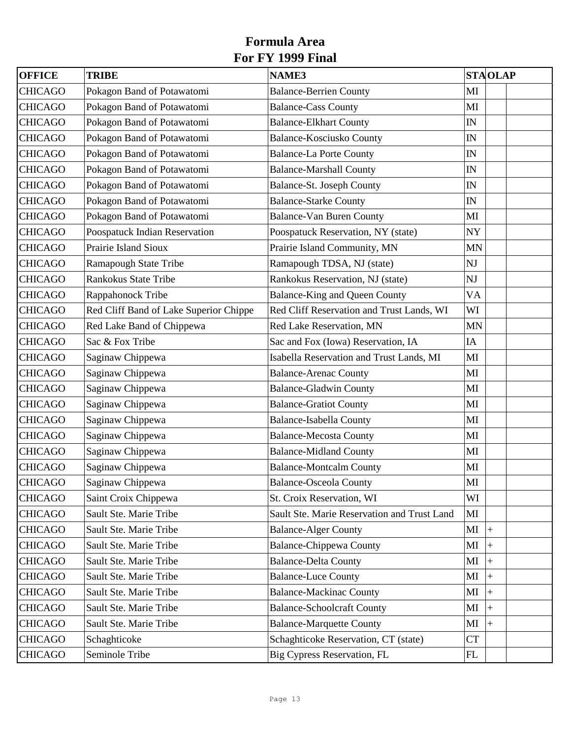| <b>OFFICE</b>  | <b>TRIBE</b>                           | <b>NAME3</b>                                | <b>STAOLAP</b>           |
|----------------|----------------------------------------|---------------------------------------------|--------------------------|
| <b>CHICAGO</b> | Pokagon Band of Potawatomi             | <b>Balance-Berrien County</b>               | MI                       |
| <b>CHICAGO</b> | Pokagon Band of Potawatomi             | <b>Balance-Cass County</b>                  | MI                       |
| <b>CHICAGO</b> | Pokagon Band of Potawatomi             | <b>Balance-Elkhart County</b>               | IN                       |
| <b>CHICAGO</b> | Pokagon Band of Potawatomi             | <b>Balance-Kosciusko County</b>             | IN                       |
| <b>CHICAGO</b> | Pokagon Band of Potawatomi             | <b>Balance-La Porte County</b>              | ${\rm IN}$               |
| <b>CHICAGO</b> | Pokagon Band of Potawatomi             | <b>Balance-Marshall County</b>              | IN                       |
| <b>CHICAGO</b> | Pokagon Band of Potawatomi             | Balance-St. Joseph County                   | IN                       |
| <b>CHICAGO</b> | Pokagon Band of Potawatomi             | <b>Balance-Starke County</b>                | IN                       |
| <b>CHICAGO</b> | Pokagon Band of Potawatomi             | <b>Balance-Van Buren County</b>             | MI                       |
| <b>CHICAGO</b> | Poospatuck Indian Reservation          | Poospatuck Reservation, NY (state)          | NY                       |
| <b>CHICAGO</b> | Prairie Island Sioux                   | Prairie Island Community, MN                | <b>MN</b>                |
| <b>CHICAGO</b> | Ramapough State Tribe                  | Ramapough TDSA, NJ (state)                  | NJ                       |
| <b>CHICAGO</b> | Rankokus State Tribe                   | Rankokus Reservation, NJ (state)            | NJ                       |
| <b>CHICAGO</b> | Rappahonock Tribe                      | <b>Balance-King and Queen County</b>        | VA                       |
| <b>CHICAGO</b> | Red Cliff Band of Lake Superior Chippe | Red Cliff Reservation and Trust Lands, WI   | WI                       |
| <b>CHICAGO</b> | Red Lake Band of Chippewa              | Red Lake Reservation, MN                    | <b>MN</b>                |
| <b>CHICAGO</b> | Sac & Fox Tribe                        | Sac and Fox (Iowa) Reservation, IA          | IA                       |
| <b>CHICAGO</b> | Saginaw Chippewa                       | Isabella Reservation and Trust Lands, MI    | MI                       |
| <b>CHICAGO</b> | Saginaw Chippewa                       | <b>Balance-Arenac County</b>                | MI                       |
| <b>CHICAGO</b> | Saginaw Chippewa                       | <b>Balance-Gladwin County</b>               | MI                       |
| <b>CHICAGO</b> | Saginaw Chippewa                       | <b>Balance-Gratiot County</b>               | MI                       |
| <b>CHICAGO</b> | Saginaw Chippewa                       | <b>Balance-Isabella County</b>              | MI                       |
| <b>CHICAGO</b> | Saginaw Chippewa                       | <b>Balance-Mecosta County</b>               | MI                       |
| <b>CHICAGO</b> | Saginaw Chippewa                       | <b>Balance-Midland County</b>               | MI                       |
| <b>CHICAGO</b> | Saginaw Chippewa                       | <b>Balance-Montcalm County</b>              | MI                       |
| <b>CHICAGO</b> | Saginaw Chippewa                       | <b>Balance-Osceola County</b>               | MI                       |
| <b>CHICAGO</b> | Saint Croix Chippewa                   | St. Croix Reservation, WI                   | WI                       |
| <b>CHICAGO</b> | Sault Ste. Marie Tribe                 | Sault Ste. Marie Reservation and Trust Land | $\mathbf{M}$             |
| <b>CHICAGO</b> | Sault Ste. Marie Tribe                 | <b>Balance-Alger County</b>                 | MI<br>$\left  + \right $ |
| <b>CHICAGO</b> | Sault Ste. Marie Tribe                 | <b>Balance-Chippewa County</b>              | MI<br>$\ddot{}$          |
| <b>CHICAGO</b> | Sault Ste. Marie Tribe                 | <b>Balance-Delta County</b>                 | MI<br>$^{+}$             |
| <b>CHICAGO</b> | Sault Ste. Marie Tribe                 | <b>Balance-Luce County</b>                  | MI<br>$+$                |
| <b>CHICAGO</b> | Sault Ste. Marie Tribe                 | <b>Balance-Mackinac County</b>              | MI<br>$^{+}$             |
| <b>CHICAGO</b> | Sault Ste. Marie Tribe                 | <b>Balance-Schoolcraft County</b>           | MI<br>$+$                |
| <b>CHICAGO</b> | Sault Ste. Marie Tribe                 | <b>Balance-Marquette County</b>             | MI<br>$\ddot{}$          |
| <b>CHICAGO</b> | Schaghticoke                           | Schaghticoke Reservation, CT (state)        | <b>CT</b>                |
| <b>CHICAGO</b> | Seminole Tribe                         | Big Cypress Reservation, FL                 | FL                       |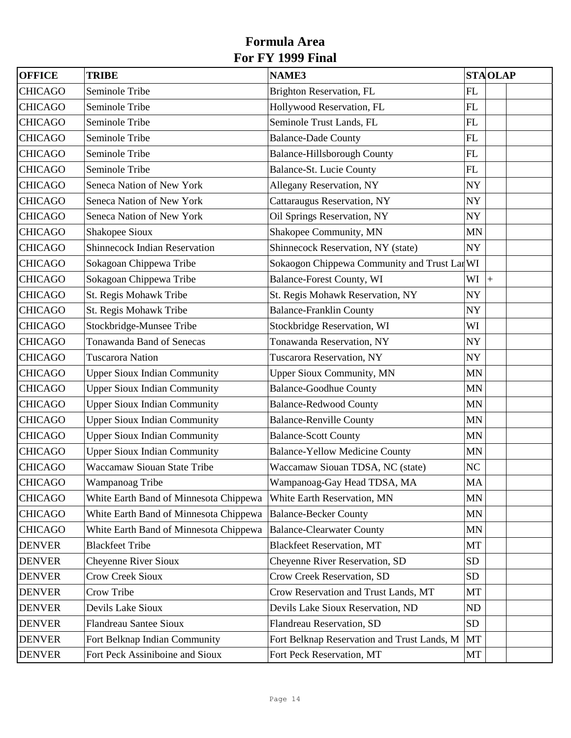| <b>OFFICE</b>  | <b>TRIBE</b>                           | <b>NAME3</b>                                 | <b>STAOLAP</b>   |
|----------------|----------------------------------------|----------------------------------------------|------------------|
| <b>CHICAGO</b> | Seminole Tribe                         | Brighton Reservation, FL                     | FL               |
| <b>CHICAGO</b> | Seminole Tribe                         | Hollywood Reservation, FL                    | FL               |
| <b>CHICAGO</b> | Seminole Tribe                         | Seminole Trust Lands, FL                     | FL               |
| <b>CHICAGO</b> | Seminole Tribe                         | <b>Balance-Dade County</b>                   | FL               |
| <b>CHICAGO</b> | Seminole Tribe                         | <b>Balance-Hillsborough County</b>           | FL               |
| <b>CHICAGO</b> | Seminole Tribe                         | <b>Balance-St. Lucie County</b>              | ${\rm FL}$       |
| <b>CHICAGO</b> | Seneca Nation of New York              | Allegany Reservation, NY                     | <b>NY</b>        |
| <b>CHICAGO</b> | Seneca Nation of New York              | Cattaraugus Reservation, NY                  | <b>NY</b>        |
| <b>CHICAGO</b> | Seneca Nation of New York              | Oil Springs Reservation, NY                  | <b>NY</b>        |
| <b>CHICAGO</b> | Shakopee Sioux                         | Shakopee Community, MN                       | MN               |
| <b>CHICAGO</b> | <b>Shinnecock Indian Reservation</b>   | Shinnecock Reservation, NY (state)           | <b>NY</b>        |
| <b>CHICAGO</b> | Sokagoan Chippewa Tribe                | Sokaogon Chippewa Community and Trust Lar WI |                  |
| <b>CHICAGO</b> | Sokagoan Chippewa Tribe                | Balance-Forest County, WI                    | WI<br>$\ddot{+}$ |
| <b>CHICAGO</b> | St. Regis Mohawk Tribe                 | St. Regis Mohawk Reservation, NY             | <b>NY</b>        |
| <b>CHICAGO</b> | St. Regis Mohawk Tribe                 | <b>Balance-Franklin County</b>               | <b>NY</b>        |
| <b>CHICAGO</b> | Stockbridge-Munsee Tribe               | Stockbridge Reservation, WI                  | WI               |
| <b>CHICAGO</b> | Tonawanda Band of Senecas              | Tonawanda Reservation, NY                    | <b>NY</b>        |
| <b>CHICAGO</b> | <b>Tuscarora Nation</b>                | Tuscarora Reservation, NY                    | <b>NY</b>        |
| <b>CHICAGO</b> | <b>Upper Sioux Indian Community</b>    | <b>Upper Sioux Community, MN</b>             | <b>MN</b>        |
| <b>CHICAGO</b> | <b>Upper Sioux Indian Community</b>    | <b>Balance-Goodhue County</b>                | <b>MN</b>        |
| <b>CHICAGO</b> | <b>Upper Sioux Indian Community</b>    | <b>Balance-Redwood County</b>                | MN               |
| <b>CHICAGO</b> | <b>Upper Sioux Indian Community</b>    | <b>Balance-Renville County</b>               | <b>MN</b>        |
| <b>CHICAGO</b> | <b>Upper Sioux Indian Community</b>    | <b>Balance-Scott County</b>                  | MN               |
| <b>CHICAGO</b> | <b>Upper Sioux Indian Community</b>    | <b>Balance-Yellow Medicine County</b>        | <b>MN</b>        |
| <b>CHICAGO</b> | <b>Waccamaw Siouan State Tribe</b>     | Waccamaw Siouan TDSA, NC (state)             | NC               |
| <b>CHICAGO</b> | Wampanoag Tribe                        | Wampanoag-Gay Head TDSA, MA                  | <b>MA</b>        |
| <b>CHICAGO</b> | White Earth Band of Minnesota Chippewa | White Earth Reservation, MN                  | <b>MN</b>        |
| <b>CHICAGO</b> | White Earth Band of Minnesota Chippewa | <b>Balance-Becker County</b>                 | <b>MN</b>        |
| <b>CHICAGO</b> | White Earth Band of Minnesota Chippewa | <b>Balance-Clearwater County</b>             | <b>MN</b>        |
| <b>DENVER</b>  | <b>Blackfeet Tribe</b>                 | <b>Blackfeet Reservation, MT</b>             | MT               |
| <b>DENVER</b>  | <b>Cheyenne River Sioux</b>            | Cheyenne River Reservation, SD               | <b>SD</b>        |
| <b>DENVER</b>  | <b>Crow Creek Sioux</b>                | Crow Creek Reservation, SD                   | <b>SD</b>        |
| <b>DENVER</b>  | Crow Tribe                             | Crow Reservation and Trust Lands, MT         | MT               |
| <b>DENVER</b>  | Devils Lake Sioux                      | Devils Lake Sioux Reservation, ND            | <b>ND</b>        |
| <b>DENVER</b>  | <b>Flandreau Santee Sioux</b>          | Flandreau Reservation, SD                    | <b>SD</b>        |
| <b>DENVER</b>  | Fort Belknap Indian Community          | Fort Belknap Reservation and Trust Lands, M  | MT               |
| <b>DENVER</b>  | Fort Peck Assiniboine and Sioux        | Fort Peck Reservation, MT                    | MT               |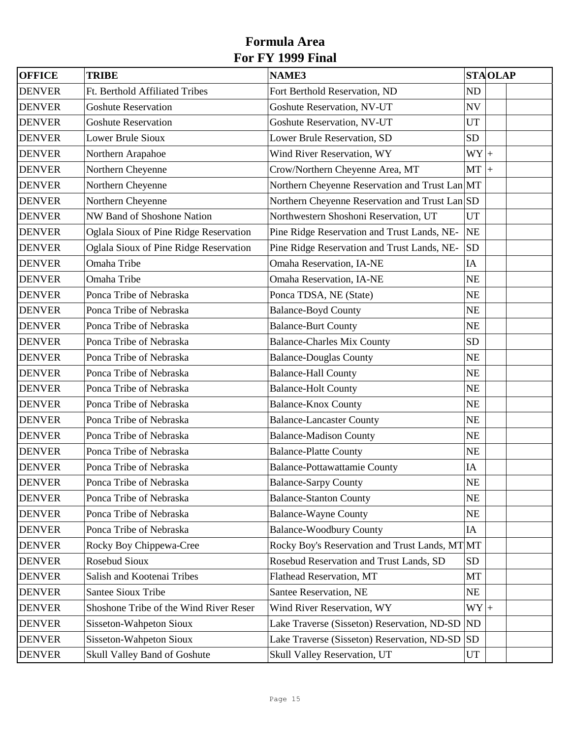| <b>OFFICE</b> | <b>TRIBE</b>                           | <b>NAME3</b>                                   |           | <b>STAOLAP</b> |  |
|---------------|----------------------------------------|------------------------------------------------|-----------|----------------|--|
| <b>DENVER</b> | Ft. Berthold Affiliated Tribes         | Fort Berthold Reservation, ND                  | <b>ND</b> |                |  |
| <b>DENVER</b> | <b>Goshute Reservation</b>             | <b>Goshute Reservation, NV-UT</b>              | <b>NV</b> |                |  |
| <b>DENVER</b> | <b>Goshute Reservation</b>             | Goshute Reservation, NV-UT                     | <b>UT</b> |                |  |
| <b>DENVER</b> | Lower Brule Sioux                      | Lower Brule Reservation, SD                    | <b>SD</b> |                |  |
| <b>DENVER</b> | Northern Arapahoe                      | Wind River Reservation, WY                     | $WY$ +    |                |  |
| <b>DENVER</b> | Northern Cheyenne                      | Crow/Northern Cheyenne Area, MT                | $MT +$    |                |  |
| <b>DENVER</b> | Northern Cheyenne                      | Northern Cheyenne Reservation and Trust Lan MT |           |                |  |
| <b>DENVER</b> | Northern Cheyenne                      | Northern Cheyenne Reservation and Trust Lan SD |           |                |  |
| <b>DENVER</b> | NW Band of Shoshone Nation             | Northwestern Shoshoni Reservation, UT          | <b>UT</b> |                |  |
| <b>DENVER</b> | Oglala Sioux of Pine Ridge Reservation | Pine Ridge Reservation and Trust Lands, NE-    | NE        |                |  |
| <b>DENVER</b> | Oglala Sioux of Pine Ridge Reservation | Pine Ridge Reservation and Trust Lands, NE-    | <b>SD</b> |                |  |
| <b>DENVER</b> | Omaha Tribe                            | Omaha Reservation, IA-NE                       | IA        |                |  |
| <b>DENVER</b> | Omaha Tribe                            | Omaha Reservation, IA-NE                       | NE        |                |  |
| <b>DENVER</b> | Ponca Tribe of Nebraska                | Ponca TDSA, NE (State)                         | <b>NE</b> |                |  |
| <b>DENVER</b> | Ponca Tribe of Nebraska                | <b>Balance-Boyd County</b>                     | NE        |                |  |
| <b>DENVER</b> | Ponca Tribe of Nebraska                | <b>Balance-Burt County</b>                     | <b>NE</b> |                |  |
| <b>DENVER</b> | Ponca Tribe of Nebraska                | <b>Balance-Charles Mix County</b>              | <b>SD</b> |                |  |
| <b>DENVER</b> | Ponca Tribe of Nebraska                | <b>Balance-Douglas County</b>                  | NE        |                |  |
| <b>DENVER</b> | Ponca Tribe of Nebraska                | <b>Balance-Hall County</b>                     | <b>NE</b> |                |  |
| <b>DENVER</b> | Ponca Tribe of Nebraska                | <b>Balance-Holt County</b>                     | NE        |                |  |
| <b>DENVER</b> | Ponca Tribe of Nebraska                | <b>Balance-Knox County</b>                     | NE        |                |  |
| <b>DENVER</b> | Ponca Tribe of Nebraska                | <b>Balance-Lancaster County</b>                | NE        |                |  |
| <b>DENVER</b> | Ponca Tribe of Nebraska                | <b>Balance-Madison County</b>                  | NE        |                |  |
| <b>DENVER</b> | Ponca Tribe of Nebraska                | <b>Balance-Platte County</b>                   | <b>NE</b> |                |  |
| <b>DENVER</b> | Ponca Tribe of Nebraska                | <b>Balance-Pottawattamie County</b>            | IA        |                |  |
| <b>DENVER</b> | Ponca Tribe of Nebraska                | <b>Balance-Sarpy County</b>                    | $\rm NE$  |                |  |
| <b>DENVER</b> | Ponca Tribe of Nebraska                | <b>Balance-Stanton County</b>                  | <b>NE</b> |                |  |
| <b>DENVER</b> | Ponca Tribe of Nebraska                | <b>Balance-Wayne County</b>                    | NE        |                |  |
| <b>DENVER</b> | Ponca Tribe of Nebraska                | <b>Balance-Woodbury County</b>                 | IA        |                |  |
| <b>DENVER</b> | Rocky Boy Chippewa-Cree                | Rocky Boy's Reservation and Trust Lands, MT MT |           |                |  |
| <b>DENVER</b> | Rosebud Sioux                          | Rosebud Reservation and Trust Lands, SD        | <b>SD</b> |                |  |
| <b>DENVER</b> | Salish and Kootenai Tribes             | Flathead Reservation, MT                       | MT        |                |  |
| <b>DENVER</b> | <b>Santee Sioux Tribe</b>              | Santee Reservation, NE                         | NE        |                |  |
| <b>DENVER</b> | Shoshone Tribe of the Wind River Reser | Wind River Reservation, WY                     | $WY$ +    |                |  |
| <b>DENVER</b> | Sisseton-Wahpeton Sioux                | Lake Traverse (Sisseton) Reservation, ND-SD    | ND        |                |  |
| <b>DENVER</b> | Sisseton-Wahpeton Sioux                | Lake Traverse (Sisseton) Reservation, ND-SD    | <b>SD</b> |                |  |
| <b>DENVER</b> | Skull Valley Band of Goshute           | Skull Valley Reservation, UT                   | UT        |                |  |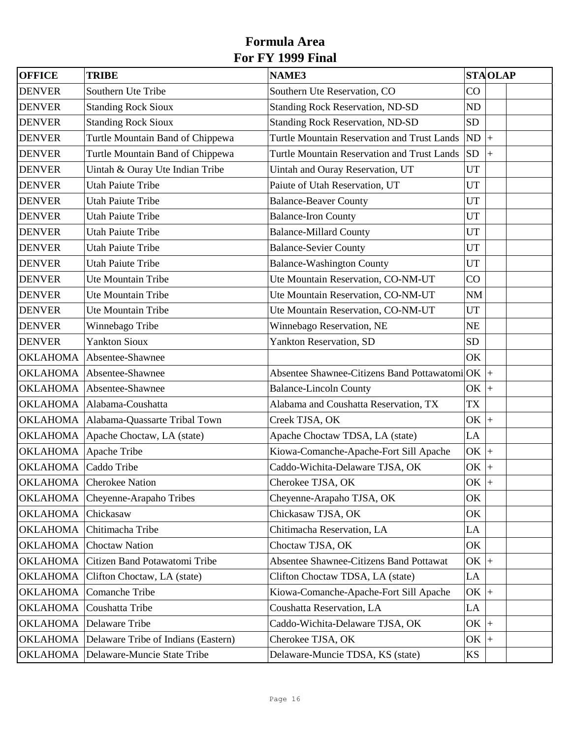| <b>OFFICE</b>         | <b>TRIBE</b>                             | <b>NAME3</b>                                        |           | <b>STAOLAP</b> |  |
|-----------------------|------------------------------------------|-----------------------------------------------------|-----------|----------------|--|
| <b>DENVER</b>         | Southern Ute Tribe                       | Southern Ute Reservation, CO                        | CO        |                |  |
| <b>DENVER</b>         | <b>Standing Rock Sioux</b>               | <b>Standing Rock Reservation, ND-SD</b>             | ND        |                |  |
| <b>DENVER</b>         | <b>Standing Rock Sioux</b>               | <b>Standing Rock Reservation, ND-SD</b>             | <b>SD</b> |                |  |
| <b>DENVER</b>         | Turtle Mountain Band of Chippewa         | <b>Turtle Mountain Reservation and Trust Lands</b>  | ND        | $\ddot{+}$     |  |
| <b>DENVER</b>         | Turtle Mountain Band of Chippewa         | <b>Turtle Mountain Reservation and Trust Lands</b>  | <b>SD</b> | $\ddot{}$      |  |
| <b>DENVER</b>         | Uintah & Ouray Ute Indian Tribe          | Uintah and Ouray Reservation, UT                    | UT        |                |  |
| <b>DENVER</b>         | <b>Utah Paiute Tribe</b>                 | Paiute of Utah Reservation, UT                      | <b>UT</b> |                |  |
| <b>DENVER</b>         | <b>Utah Paiute Tribe</b>                 | <b>Balance-Beaver County</b>                        | <b>UT</b> |                |  |
| <b>DENVER</b>         | <b>Utah Paiute Tribe</b>                 | <b>Balance-Iron County</b>                          | UT        |                |  |
| <b>DENVER</b>         | <b>Utah Paiute Tribe</b>                 | <b>Balance-Millard County</b>                       | UT        |                |  |
| <b>DENVER</b>         | <b>Utah Paiute Tribe</b>                 | <b>Balance-Sevier County</b>                        | UT        |                |  |
| <b>DENVER</b>         | <b>Utah Paiute Tribe</b>                 | <b>Balance-Washington County</b>                    | <b>UT</b> |                |  |
| <b>DENVER</b>         | Ute Mountain Tribe                       | Ute Mountain Reservation, CO-NM-UT                  | CO        |                |  |
| <b>DENVER</b>         | Ute Mountain Tribe                       | Ute Mountain Reservation, CO-NM-UT                  | <b>NM</b> |                |  |
| <b>DENVER</b>         | Ute Mountain Tribe                       | Ute Mountain Reservation, CO-NM-UT                  | UT        |                |  |
| <b>DENVER</b>         | Winnebago Tribe                          | Winnebago Reservation, NE                           | <b>NE</b> |                |  |
| <b>DENVER</b>         | <b>Yankton Sioux</b>                     | Yankton Reservation, SD                             | <b>SD</b> |                |  |
| <b>OKLAHOMA</b>       | Absentee-Shawnee                         |                                                     | OK        |                |  |
|                       | OKLAHOMA Absentee-Shawnee                | Absentee Shawnee-Citizens Band Pottawatomi $ OK $ + |           |                |  |
|                       | OKLAHOMA Absentee-Shawnee                | <b>Balance-Lincoln County</b>                       | $OK$ +    |                |  |
|                       | OKLAHOMA Alabama-Coushatta               | Alabama and Coushatta Reservation, TX               | <b>TX</b> |                |  |
|                       | OKLAHOMA   Alabama-Quassarte Tribal Town | Creek TJSA, OK                                      | $OK$ +    |                |  |
| OKLAHOMA              | Apache Choctaw, LA (state)               | Apache Choctaw TDSA, LA (state)                     | LA        |                |  |
| OKLAHOMA Apache Tribe |                                          | Kiowa-Comanche-Apache-Fort Sill Apache              | $OK$ +    |                |  |
| <b>OKLAHOMA</b>       | Caddo Tribe                              | Caddo-Wichita-Delaware TJSA, OK                     | $OK$ +    |                |  |
|                       | <b>OKLAHOMA</b> Cherokee Nation          | Cherokee TJSA, OK                                   | OK        |                |  |
| <b>OKLAHOMA</b>       | Cheyenne-Arapaho Tribes                  | Cheyenne-Arapaho TJSA, OK                           | OK.       |                |  |
| <b>OKLAHOMA</b>       | Chickasaw                                | Chickasaw TJSA, OK                                  | OK        |                |  |
| <b>OKLAHOMA</b>       | Chitimacha Tribe                         | Chitimacha Reservation, LA                          | LA        |                |  |
| <b>OKLAHOMA</b>       | <b>Choctaw Nation</b>                    | Choctaw TJSA, OK                                    | OK        |                |  |
| <b>OKLAHOMA</b>       | Citizen Band Potawatomi Tribe            | <b>Absentee Shawnee-Citizens Band Pottawat</b>      | $OK$ +    |                |  |
| <b>OKLAHOMA</b>       | Clifton Choctaw, LA (state)              | Clifton Choctaw TDSA, LA (state)                    | LA        |                |  |
| <b>OKLAHOMA</b>       | Comanche Tribe                           | Kiowa-Comanche-Apache-Fort Sill Apache              | $OK$ +    |                |  |
| <b>OKLAHOMA</b>       | Coushatta Tribe                          | Coushatta Reservation, LA                           | LA        |                |  |
| <b>OKLAHOMA</b>       | Delaware Tribe                           | Caddo-Wichita-Delaware TJSA, OK                     | $OK$ +    |                |  |
| <b>OKLAHOMA</b>       | Delaware Tribe of Indians (Eastern)      | Cherokee TJSA, OK                                   | OK        | $+$            |  |
|                       | OKLAHOMA Delaware-Muncie State Tribe     | Delaware-Muncie TDSA, KS (state)                    | <b>KS</b> |                |  |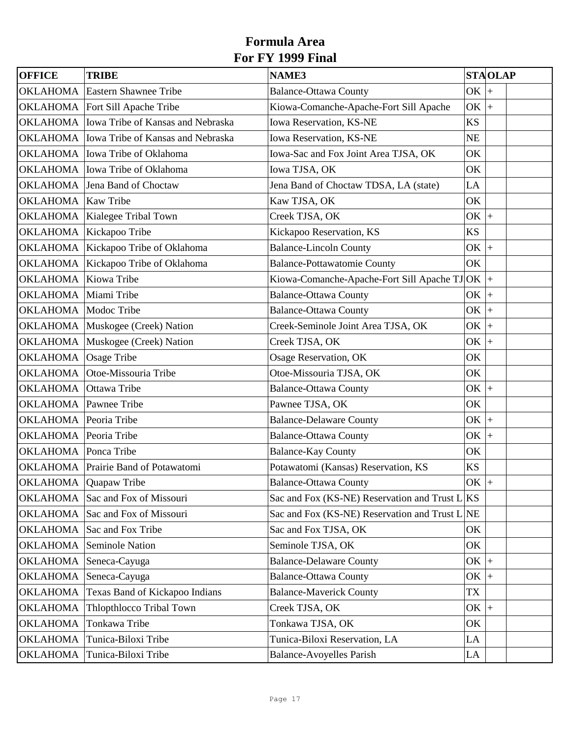| <b>OFFICE</b>                | <b>TRIBE</b>                                 | <b>NAME3</b>                                      |             | <b>STAOLAP</b> |
|------------------------------|----------------------------------------------|---------------------------------------------------|-------------|----------------|
| <b>OKLAHOMA</b>              | <b>Eastern Shawnee Tribe</b>                 | <b>Balance-Ottawa County</b>                      | OK          | $\ddot{}$      |
|                              | OKLAHOMA   Fort Sill Apache Tribe            | Kiowa-Comanche-Apache-Fort Sill Apache            | OK          | $\ddot{}$      |
|                              | OKLAHOMA   Iowa Tribe of Kansas and Nebraska | Iowa Reservation, KS-NE                           | <b>KS</b>   |                |
|                              | OKLAHOMA   Iowa Tribe of Kansas and Nebraska | Iowa Reservation, KS-NE                           | <b>NE</b>   |                |
|                              | OKLAHOMA   Iowa Tribe of Oklahoma            | Iowa-Sac and Fox Joint Area TJSA, OK              | OK          |                |
|                              | OKLAHOMA lowa Tribe of Oklahoma              | Iowa TJSA, OK                                     | OK          |                |
|                              | OKLAHOMA Jena Band of Choctaw                | Jena Band of Choctaw TDSA, LA (state)             | LA          |                |
| OKLAHOMA Kaw Tribe           |                                              | Kaw TJSA, OK                                      | OK          |                |
|                              | OKLAHOMA Kialegee Tribal Town                | Creek TJSA, OK                                    | OK          | $\ddot{+}$     |
|                              | OKLAHOMA Kickapoo Tribe                      | Kickapoo Reservation, KS                          | <b>KS</b>   |                |
|                              | OKLAHOMA Kickapoo Tribe of Oklahoma          | <b>Balance-Lincoln County</b>                     | OK          | $+$            |
|                              | OKLAHOMA Kickapoo Tribe of Oklahoma          | <b>Balance-Pottawatomie County</b>                | OK          |                |
| OKLAHOMA Kiowa Tribe         |                                              | Kiowa-Comanche-Apache-Fort Sill Apache TJ OK $ +$ |             |                |
| OKLAHOMA Miami Tribe         |                                              | <b>Balance-Ottawa County</b>                      | OK          | $\ddot{}$      |
| OKLAHOMA Modoc Tribe         |                                              | <b>Balance-Ottawa County</b>                      | OK          | $\ddot{}$      |
|                              | OKLAHOMA Muskogee (Creek) Nation             | Creek-Seminole Joint Area TJSA, OK                | OK          | $\ddot{}$      |
|                              | OKLAHOMA Muskogee (Creek) Nation             | Creek TJSA, OK                                    | OK          | $\ddot{+}$     |
| OKLAHOMA                     | Osage Tribe                                  | Osage Reservation, OK                             | OK          |                |
|                              | OKLAHOMA Otoe-Missouria Tribe                | Otoe-Missouria TJSA, OK                           | OK          |                |
| OKLAHOMA Ottawa Tribe        |                                              | <b>Balance-Ottawa County</b>                      | $OK \,   +$ |                |
| <b>OKLAHOMA</b> Pawnee Tribe |                                              | Pawnee TJSA, OK                                   | OK          |                |
| OKLAHOMA Peoria Tribe        |                                              | <b>Balance-Delaware County</b>                    | $OK$ +      |                |
| OKLAHOMA Peoria Tribe        |                                              | <b>Balance-Ottawa County</b>                      | OK          | $+$            |
| <b>OKLAHOMA</b> Ponca Tribe  |                                              | <b>Balance-Kay County</b>                         | OK          |                |
|                              | OKLAHOMA Prairie Band of Potawatomi          | Potawatomi (Kansas) Reservation, KS               | <b>KS</b>   |                |
| OKLAHOMA Quapaw Tribe        |                                              | <b>Balance-Ottawa County</b>                      | $OK$ +      | $\pm$          |
|                              | OKLAHOMA Sac and Fox of Missouri             | Sac and Fox (KS-NE) Reservation and Trust L KS    |             |                |
|                              | OKLAHOMA Sac and Fox of Missouri             | Sac and Fox (KS-NE) Reservation and Trust L NE    |             |                |
| OKLAHOMA                     | Sac and Fox Tribe                            | Sac and Fox TJSA, OK                              | OK          |                |
| <b>OKLAHOMA</b>              | Seminole Nation                              | Seminole TJSA, OK                                 | OK          |                |
| <b>OKLAHOMA</b>              | Seneca-Cayuga                                | <b>Balance-Delaware County</b>                    | $OK$ +      |                |
| OKLAHOMA                     | Seneca-Cayuga                                | <b>Balance-Ottawa County</b>                      | $OK$ +      |                |
| <b>OKLAHOMA</b>              | Texas Band of Kickapoo Indians               | <b>Balance-Maverick County</b>                    | <b>TX</b>   |                |
| <b>OKLAHOMA</b>              | Thlopthlocco Tribal Town                     | Creek TJSA, OK                                    | $OK$ +      |                |
| <b>OKLAHOMA</b>              | Tonkawa Tribe                                | Tonkawa TJSA, OK                                  | OK          |                |
| <b>OKLAHOMA</b>              | Tunica-Biloxi Tribe                          | Tunica-Biloxi Reservation, LA                     | LA          |                |
| <b>OKLAHOMA</b>              | Tunica-Biloxi Tribe                          | <b>Balance-Avoyelles Parish</b>                   | LA          |                |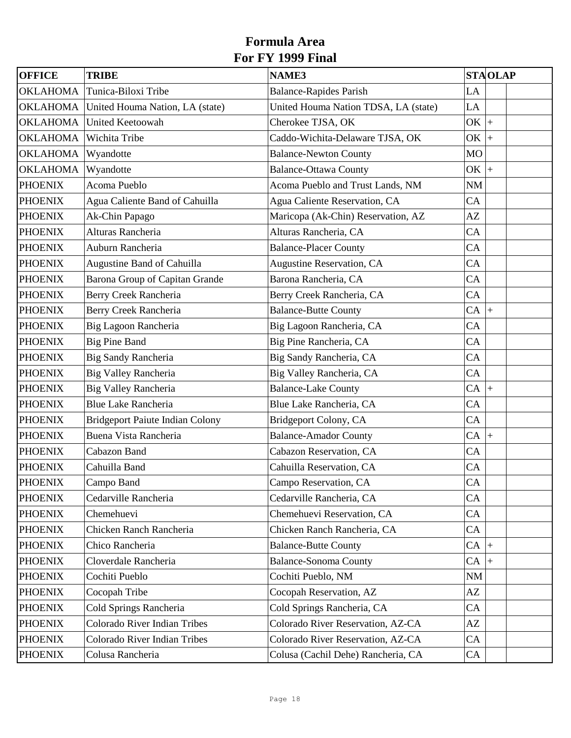| <b>OFFICE</b>   | <b>TRIBE</b>                           | <b>NAME3</b>                         |                | <b>STAOLAP</b>     |  |
|-----------------|----------------------------------------|--------------------------------------|----------------|--------------------|--|
| <b>OKLAHOMA</b> | Tunica-Biloxi Tribe                    | <b>Balance-Rapides Parish</b>        | LA             |                    |  |
| <b>OKLAHOMA</b> | United Houma Nation, LA (state)        | United Houma Nation TDSA, LA (state) | LA             |                    |  |
| <b>OKLAHOMA</b> | <b>United Keetoowah</b>                | Cherokee TJSA, OK                    | OK             | $\ddot{}$          |  |
| <b>OKLAHOMA</b> | Wichita Tribe                          | Caddo-Wichita-Delaware TJSA, OK      | OK             | $\left  + \right $ |  |
| <b>OKLAHOMA</b> | Wyandotte                              | <b>Balance-Newton County</b>         | M <sub>O</sub> |                    |  |
| <b>OKLAHOMA</b> | Wyandotte                              | <b>Balance-Ottawa County</b>         | OK             | $\ddot{}$          |  |
| <b>PHOENIX</b>  | Acoma Pueblo                           | Acoma Pueblo and Trust Lands, NM     | <b>NM</b>      |                    |  |
| <b>PHOENIX</b>  | Agua Caliente Band of Cahuilla         | Agua Caliente Reservation, CA        | CA             |                    |  |
| <b>PHOENIX</b>  | Ak-Chin Papago                         | Maricopa (Ak-Chin) Reservation, AZ   | AZ             |                    |  |
| <b>PHOENIX</b>  | Alturas Rancheria                      | Alturas Rancheria, CA                | CA             |                    |  |
| <b>PHOENIX</b>  | Auburn Rancheria                       | <b>Balance-Placer County</b>         | CA             |                    |  |
| <b>PHOENIX</b>  | Augustine Band of Cahuilla             | <b>Augustine Reservation, CA</b>     | CA             |                    |  |
| <b>PHOENIX</b>  | Barona Group of Capitan Grande         | Barona Rancheria, CA                 | CA             |                    |  |
| <b>PHOENIX</b>  | Berry Creek Rancheria                  | Berry Creek Rancheria, CA            | CA             |                    |  |
| <b>PHOENIX</b>  | Berry Creek Rancheria                  | <b>Balance-Butte County</b>          | CA             | $\left  + \right $ |  |
| <b>PHOENIX</b>  | Big Lagoon Rancheria                   | Big Lagoon Rancheria, CA             | CA             |                    |  |
| <b>PHOENIX</b>  | <b>Big Pine Band</b>                   | Big Pine Rancheria, CA               | CA             |                    |  |
| <b>PHOENIX</b>  | <b>Big Sandy Rancheria</b>             | Big Sandy Rancheria, CA              | CA             |                    |  |
| <b>PHOENIX</b>  | <b>Big Valley Rancheria</b>            | Big Valley Rancheria, CA             | CA             |                    |  |
| <b>PHOENIX</b>  | <b>Big Valley Rancheria</b>            | <b>Balance-Lake County</b>           | CA             | $\ddot{}$          |  |
| <b>PHOENIX</b>  | <b>Blue Lake Rancheria</b>             | Blue Lake Rancheria, CA              | CA             |                    |  |
| <b>PHOENIX</b>  | <b>Bridgeport Paiute Indian Colony</b> | Bridgeport Colony, CA                | CA             |                    |  |
| <b>PHOENIX</b>  | Buena Vista Rancheria                  | <b>Balance-Amador County</b>         | CA             | $+$                |  |
| <b>PHOENIX</b>  | Cabazon Band                           | Cabazon Reservation, CA              | CA             |                    |  |
| <b>PHOENIX</b>  | Cahuilla Band                          | Cahuilla Reservation, CA             | CA             |                    |  |
| <b>PHOENIX</b>  | Campo Band                             | Campo Reservation, CA                | CA             |                    |  |
| <b>PHOENIX</b>  | Cedarville Rancheria                   | Cedarville Rancheria, CA             | CA             |                    |  |
| <b>PHOENIX</b>  | Chemehuevi                             | Chemehuevi Reservation, CA           | CA             |                    |  |
| <b>PHOENIX</b>  | <b>Chicken Ranch Rancheria</b>         | Chicken Ranch Rancheria, CA          | CA             |                    |  |
| <b>PHOENIX</b>  | Chico Rancheria                        | <b>Balance-Butte County</b>          | $CA$ +         |                    |  |
| <b>PHOENIX</b>  | Cloverdale Rancheria                   | <b>Balance-Sonoma County</b>         | CA             |                    |  |
| <b>PHOENIX</b>  | Cochiti Pueblo                         | Cochiti Pueblo, NM                   | <b>NM</b>      |                    |  |
| <b>PHOENIX</b>  | Cocopah Tribe                          | Cocopah Reservation, AZ              | AZ             |                    |  |
| <b>PHOENIX</b>  | Cold Springs Rancheria                 | Cold Springs Rancheria, CA           | CA             |                    |  |
| <b>PHOENIX</b>  | Colorado River Indian Tribes           | Colorado River Reservation, AZ-CA    | AZ             |                    |  |
| <b>PHOENIX</b>  | Colorado River Indian Tribes           | Colorado River Reservation, AZ-CA    | CA             |                    |  |
| <b>PHOENIX</b>  | Colusa Rancheria                       | Colusa (Cachil Dehe) Rancheria, CA   | CA             |                    |  |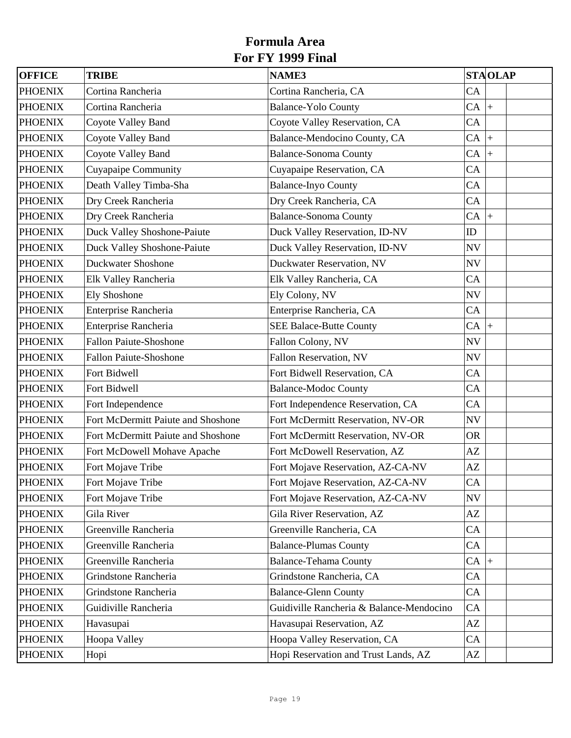| OFFICE         | <b>TRIBE</b>                       | <b>NAME3</b>                             |              | <b>STAOLAP</b> |  |
|----------------|------------------------------------|------------------------------------------|--------------|----------------|--|
| <b>PHOENIX</b> | Cortina Rancheria                  | Cortina Rancheria, CA                    | CA           |                |  |
| <b>PHOENIX</b> | Cortina Rancheria                  | <b>Balance-Yolo County</b>               | $CA \vert +$ |                |  |
| <b>PHOENIX</b> | Coyote Valley Band                 | Coyote Valley Reservation, CA            | CA           |                |  |
| <b>PHOENIX</b> | Coyote Valley Band                 | Balance-Mendocino County, CA             | $CA \mid +$  |                |  |
| <b>PHOENIX</b> | Coyote Valley Band                 | <b>Balance-Sonoma County</b>             | CA           | $ +$           |  |
| <b>PHOENIX</b> | Cuyapaipe Community                | Cuyapaipe Reservation, CA                | CA           |                |  |
| <b>PHOENIX</b> | Death Valley Timba-Sha             | <b>Balance-Inyo County</b>               | CA           |                |  |
| <b>PHOENIX</b> | Dry Creek Rancheria                | Dry Creek Rancheria, CA                  | CA           |                |  |
| <b>PHOENIX</b> | Dry Creek Rancheria                | <b>Balance-Sonoma County</b>             | $CA \mid +$  |                |  |
| <b>PHOENIX</b> | Duck Valley Shoshone-Paiute        | Duck Valley Reservation, ID-NV           | ID           |                |  |
| <b>PHOENIX</b> | Duck Valley Shoshone-Paiute        | Duck Valley Reservation, ID-NV           | NV           |                |  |
| <b>PHOENIX</b> | <b>Duckwater Shoshone</b>          | Duckwater Reservation, NV                | <b>NV</b>    |                |  |
| <b>PHOENIX</b> | Elk Valley Rancheria               | Elk Valley Rancheria, CA                 | CA           |                |  |
| <b>PHOENIX</b> | <b>Ely Shoshone</b>                | Ely Colony, NV                           | NV           |                |  |
| <b>PHOENIX</b> | Enterprise Rancheria               | Enterprise Rancheria, CA                 | CA           |                |  |
| <b>PHOENIX</b> | Enterprise Rancheria               | <b>SEE Balace-Butte County</b>           | $CA \vert +$ |                |  |
| <b>PHOENIX</b> | <b>Fallon Paiute-Shoshone</b>      | Fallon Colony, NV                        | <b>NV</b>    |                |  |
| <b>PHOENIX</b> | <b>Fallon Paiute-Shoshone</b>      | Fallon Reservation, NV                   | <b>NV</b>    |                |  |
| <b>PHOENIX</b> | Fort Bidwell                       | Fort Bidwell Reservation, CA             | CA           |                |  |
| <b>PHOENIX</b> | Fort Bidwell                       | <b>Balance-Modoc County</b>              | CA           |                |  |
| <b>PHOENIX</b> | Fort Independence                  | Fort Independence Reservation, CA        | CA           |                |  |
| <b>PHOENIX</b> | Fort McDermitt Paiute and Shoshone | Fort McDermitt Reservation, NV-OR        | <b>NV</b>    |                |  |
| <b>PHOENIX</b> | Fort McDermitt Paiute and Shoshone | Fort McDermitt Reservation, NV-OR        | <b>OR</b>    |                |  |
| <b>PHOENIX</b> | Fort McDowell Mohave Apache        | Fort McDowell Reservation, AZ            | AZ           |                |  |
| <b>PHOENIX</b> | Fort Mojave Tribe                  | Fort Mojave Reservation, AZ-CA-NV        | AZ           |                |  |
| <b>PHOENIX</b> | Fort Mojave Tribe                  | Fort Mojave Reservation, AZ-CA-NV        | CA           |                |  |
| <b>PHOENIX</b> | Fort Mojave Tribe                  | Fort Mojave Reservation, AZ-CA-NV        | <b>NV</b>    |                |  |
| <b>PHOENIX</b> | Gila River                         | Gila River Reservation, AZ               | AZ           |                |  |
| <b>PHOENIX</b> | Greenville Rancheria               | Greenville Rancheria, CA                 | CA           |                |  |
| <b>PHOENIX</b> | Greenville Rancheria               | <b>Balance-Plumas County</b>             | CA           |                |  |
| <b>PHOENIX</b> | Greenville Rancheria               | <b>Balance-Tehama County</b>             | $CA \vert +$ |                |  |
| <b>PHOENIX</b> | Grindstone Rancheria               | Grindstone Rancheria, CA                 | CA           |                |  |
| <b>PHOENIX</b> | Grindstone Rancheria               | <b>Balance-Glenn County</b>              | CA           |                |  |
| <b>PHOENIX</b> | Guidiville Rancheria               | Guidiville Rancheria & Balance-Mendocino | CA           |                |  |
| <b>PHOENIX</b> | Havasupai                          | Havasupai Reservation, AZ                | AZ           |                |  |
| <b>PHOENIX</b> | Hoopa Valley                       | Hoopa Valley Reservation, CA             | CA           |                |  |
| <b>PHOENIX</b> | Hopi                               | Hopi Reservation and Trust Lands, AZ     | AZ           |                |  |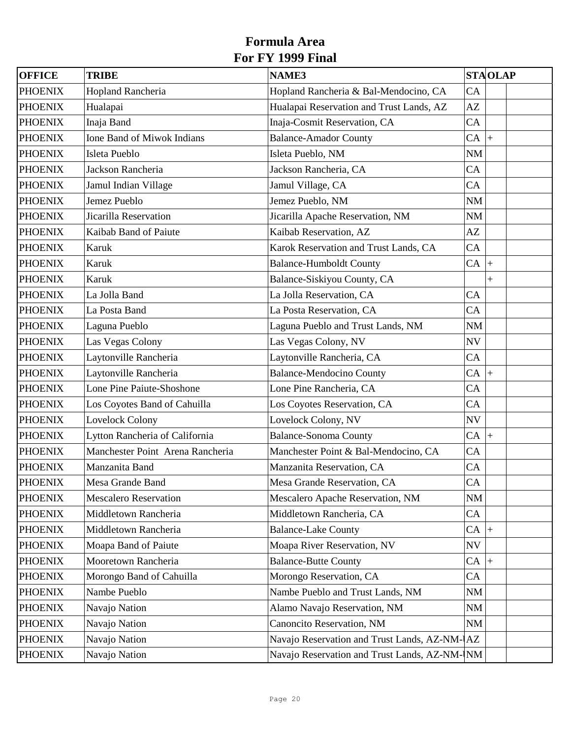| <b>OFFICE</b>  | <b>TRIBE</b>                     | <b>NAME3</b>                                  |                          | <b>STAOLAP</b> |
|----------------|----------------------------------|-----------------------------------------------|--------------------------|----------------|
| <b>PHOENIX</b> | Hopland Rancheria                | Hopland Rancheria & Bal-Mendocino, CA         | CA                       |                |
| <b>PHOENIX</b> | Hualapai                         | Hualapai Reservation and Trust Lands, AZ      | AZ                       |                |
| <b>PHOENIX</b> | Inaja Band                       | Inaja-Cosmit Reservation, CA                  | CA                       |                |
| <b>PHOENIX</b> | Ione Band of Miwok Indians       | <b>Balance-Amador County</b>                  | CA                       | $\ddot{}$      |
| <b>PHOENIX</b> | Isleta Pueblo                    | Isleta Pueblo, NM                             | $N\!M$                   |                |
| <b>PHOENIX</b> | Jackson Rancheria                | Jackson Rancheria, CA                         | CA                       |                |
| <b>PHOENIX</b> | Jamul Indian Village             | Jamul Village, CA                             | CA                       |                |
| <b>PHOENIX</b> | Jemez Pueblo                     | Jemez Pueblo, NM                              | NM                       |                |
| <b>PHOENIX</b> | Jicarilla Reservation            | Jicarilla Apache Reservation, NM              | <b>NM</b>                |                |
| <b>PHOENIX</b> | Kaibab Band of Paiute            | Kaibab Reservation, AZ                        | AZ                       |                |
| <b>PHOENIX</b> | Karuk                            | Karok Reservation and Trust Lands, CA         | CA                       |                |
| <b>PHOENIX</b> | Karuk                            | <b>Balance-Humboldt County</b>                | $CA$ +                   |                |
| <b>PHOENIX</b> | Karuk                            | Balance-Siskiyou County, CA                   |                          | $\ddag$        |
| <b>PHOENIX</b> | La Jolla Band                    | La Jolla Reservation, CA                      | CA                       |                |
| <b>PHOENIX</b> | La Posta Band                    | La Posta Reservation, CA                      | CA                       |                |
| <b>PHOENIX</b> | Laguna Pueblo                    | Laguna Pueblo and Trust Lands, NM             | <b>NM</b>                |                |
| <b>PHOENIX</b> | Las Vegas Colony                 | Las Vegas Colony, NV                          | $\ensuremath{\text{NV}}$ |                |
| <b>PHOENIX</b> | Laytonville Rancheria            | Laytonville Rancheria, CA                     | CA                       |                |
| <b>PHOENIX</b> | Laytonville Rancheria            | <b>Balance-Mendocino County</b>               | $CA$ +                   |                |
| <b>PHOENIX</b> | Lone Pine Paiute-Shoshone        | Lone Pine Rancheria, CA                       | CA                       |                |
| <b>PHOENIX</b> | Los Coyotes Band of Cahuilla     | Los Coyotes Reservation, CA                   | CA                       |                |
| <b>PHOENIX</b> | Lovelock Colony                  | Lovelock Colony, NV                           | $\ensuremath{\text{NV}}$ |                |
| <b>PHOENIX</b> | Lytton Rancheria of California   | <b>Balance-Sonoma County</b>                  | CA                       | $\ddot{}$      |
| <b>PHOENIX</b> | Manchester Point Arena Rancheria | Manchester Point & Bal-Mendocino, CA          | CA                       |                |
| <b>PHOENIX</b> | Manzanita Band                   | Manzanita Reservation, CA                     | CA                       |                |
| <b>PHOENIX</b> | Mesa Grande Band                 | Mesa Grande Reservation, CA                   | ${\rm CA}$               |                |
| <b>PHOENIX</b> | <b>Mescalero Reservation</b>     | Mescalero Apache Reservation, NM              | NM                       |                |
| <b>PHOENIX</b> | Middletown Rancheria             | Middletown Rancheria, CA                      | CA                       |                |
| <b>PHOENIX</b> | Middletown Rancheria             | <b>Balance-Lake County</b>                    | $CA$ +                   |                |
| <b>PHOENIX</b> | Moapa Band of Paiute             | Moapa River Reservation, NV                   | NV                       |                |
| <b>PHOENIX</b> | Mooretown Rancheria              | <b>Balance-Butte County</b>                   | $CA$ +                   |                |
| <b>PHOENIX</b> | Morongo Band of Cahuilla         | Morongo Reservation, CA                       | CA                       |                |
| <b>PHOENIX</b> | Nambe Pueblo                     | Nambe Pueblo and Trust Lands, NM              | <b>NM</b>                |                |
| <b>PHOENIX</b> | Navajo Nation                    | Alamo Navajo Reservation, NM                  | $\rm NM$                 |                |
| <b>PHOENIX</b> | Navajo Nation                    | Canoncito Reservation, NM                     | NM                       |                |
| <b>PHOENIX</b> | Navajo Nation                    | Navajo Reservation and Trust Lands, AZ-NM- AZ |                          |                |
| <b>PHOENIX</b> | Navajo Nation                    | Navajo Reservation and Trust Lands, AZ-NM- NM |                          |                |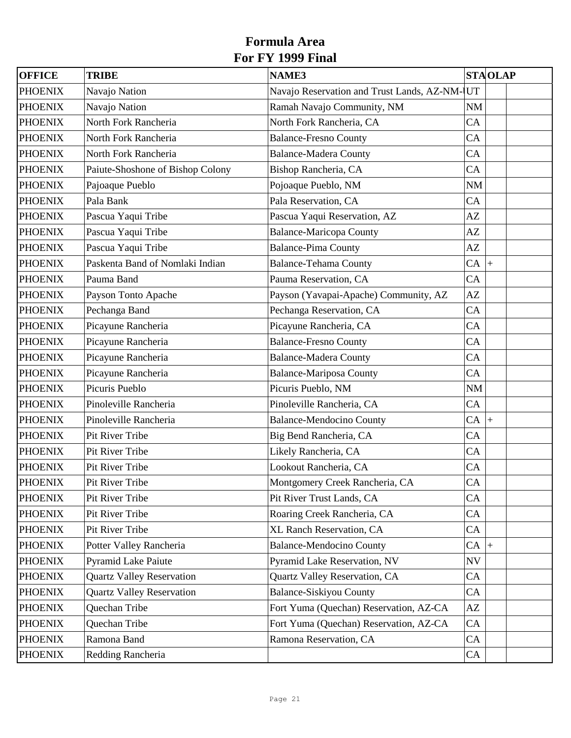| <b>OFFICE</b>  | <b>TRIBE</b>                     | <b>NAME3</b>                                  |              | <b>STAOLAP</b> |
|----------------|----------------------------------|-----------------------------------------------|--------------|----------------|
| <b>PHOENIX</b> | Navajo Nation                    | Navajo Reservation and Trust Lands, AZ-NM- UT |              |                |
| <b>PHOENIX</b> | Navajo Nation                    | Ramah Navajo Community, NM                    | NM           |                |
| <b>PHOENIX</b> | North Fork Rancheria             | North Fork Rancheria, CA                      | CA           |                |
| <b>PHOENIX</b> | North Fork Rancheria             | <b>Balance-Fresno County</b>                  | CA           |                |
| <b>PHOENIX</b> | North Fork Rancheria             | <b>Balance-Madera County</b>                  | CA           |                |
| <b>PHOENIX</b> | Paiute-Shoshone of Bishop Colony | Bishop Rancheria, CA                          | CA           |                |
| <b>PHOENIX</b> | Pajoaque Pueblo                  | Pojoaque Pueblo, NM                           | <b>NM</b>    |                |
| <b>PHOENIX</b> | Pala Bank                        | Pala Reservation, CA                          | CA           |                |
| <b>PHOENIX</b> | Pascua Yaqui Tribe               | Pascua Yaqui Reservation, AZ                  | AZ           |                |
| <b>PHOENIX</b> | Pascua Yaqui Tribe               | <b>Balance-Maricopa County</b>                | AZ           |                |
| <b>PHOENIX</b> | Pascua Yaqui Tribe               | <b>Balance-Pima County</b>                    | AZ           |                |
| <b>PHOENIX</b> | Paskenta Band of Nomlaki Indian  | <b>Balance-Tehama County</b>                  | $CA \vert +$ |                |
| <b>PHOENIX</b> | Pauma Band                       | Pauma Reservation, CA                         | CA           |                |
| <b>PHOENIX</b> | Payson Tonto Apache              | Payson (Yavapai-Apache) Community, AZ         | AZ           |                |
| <b>PHOENIX</b> | Pechanga Band                    | Pechanga Reservation, CA                      | CA           |                |
| <b>PHOENIX</b> | Picayune Rancheria               | Picayune Rancheria, CA                        | CA           |                |
| <b>PHOENIX</b> | Picayune Rancheria               | <b>Balance-Fresno County</b>                  | CA           |                |
| <b>PHOENIX</b> | Picayune Rancheria               | <b>Balance-Madera County</b>                  | CA           |                |
| <b>PHOENIX</b> | Picayune Rancheria               | <b>Balance-Mariposa County</b>                | CA           |                |
| <b>PHOENIX</b> | Picuris Pueblo                   | Picuris Pueblo, NM                            | NM           |                |
| <b>PHOENIX</b> | Pinoleville Rancheria            | Pinoleville Rancheria, CA                     | CA           |                |
| <b>PHOENIX</b> | Pinoleville Rancheria            | <b>Balance-Mendocino County</b>               | $CA$ +       |                |
| <b>PHOENIX</b> | Pit River Tribe                  | Big Bend Rancheria, CA                        | CA           |                |
| <b>PHOENIX</b> | Pit River Tribe                  | Likely Rancheria, CA                          | CA           |                |
| <b>PHOENIX</b> | Pit River Tribe                  | Lookout Rancheria, CA                         | CA           |                |
| <b>PHOENIX</b> | Pit River Tribe                  | Montgomery Creek Rancheria, CA                | CA           |                |
| <b>PHOENIX</b> | Pit River Tribe                  | Pit River Trust Lands, CA                     | CA           |                |
| <b>PHOENIX</b> | Pit River Tribe                  | Roaring Creek Rancheria, CA                   | CA           |                |
| <b>PHOENIX</b> | Pit River Tribe                  | XL Ranch Reservation, CA                      | CA           |                |
| <b>PHOENIX</b> | Potter Valley Rancheria          | <b>Balance-Mendocino County</b>               | $CA$ +       |                |
| <b>PHOENIX</b> | <b>Pyramid Lake Paiute</b>       | Pyramid Lake Reservation, NV                  | <b>NV</b>    |                |
| <b>PHOENIX</b> | <b>Quartz Valley Reservation</b> | Quartz Valley Reservation, CA                 | CA           |                |
| <b>PHOENIX</b> | <b>Quartz Valley Reservation</b> | <b>Balance-Siskiyou County</b>                | CA           |                |
| <b>PHOENIX</b> | Quechan Tribe                    | Fort Yuma (Quechan) Reservation, AZ-CA        | AZ           |                |
| <b>PHOENIX</b> | Quechan Tribe                    | Fort Yuma (Quechan) Reservation, AZ-CA        | CA           |                |
| <b>PHOENIX</b> | Ramona Band                      | Ramona Reservation, CA                        | CA           |                |
| <b>PHOENIX</b> | Redding Rancheria                |                                               | CA           |                |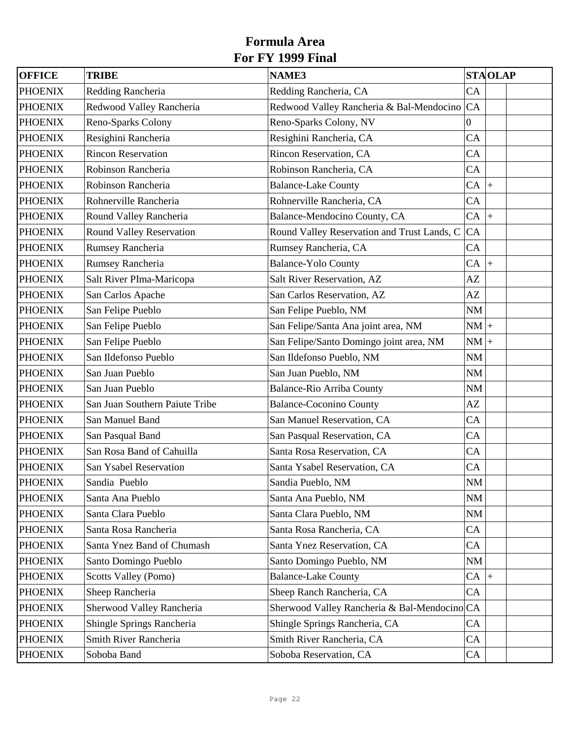| <b>OFFICE</b>  | <b>TRIBE</b>                   | <b>NAME3</b>                                 |                        | <b>STAOLAP</b>     |  |
|----------------|--------------------------------|----------------------------------------------|------------------------|--------------------|--|
| <b>PHOENIX</b> | Redding Rancheria              | Redding Rancheria, CA                        | CA                     |                    |  |
| <b>PHOENIX</b> | Redwood Valley Rancheria       | Redwood Valley Rancheria & Bal-Mendocino CA  |                        |                    |  |
| <b>PHOENIX</b> | Reno-Sparks Colony             | Reno-Sparks Colony, NV                       | $\boldsymbol{0}$       |                    |  |
| <b>PHOENIX</b> | Resighini Rancheria            | Resighini Rancheria, CA                      | CA                     |                    |  |
| <b>PHOENIX</b> | <b>Rincon Reservation</b>      | Rincon Reservation, CA                       | CA                     |                    |  |
| <b>PHOENIX</b> | Robinson Rancheria             | Robinson Rancheria, CA                       | CA                     |                    |  |
| <b>PHOENIX</b> | Robinson Rancheria             | <b>Balance-Lake County</b>                   | CA                     | $\ddot{}$          |  |
| <b>PHOENIX</b> | Rohnerville Rancheria          | Rohnerville Rancheria, CA                    | CA                     |                    |  |
| <b>PHOENIX</b> | Round Valley Rancheria         | Balance-Mendocino County, CA                 | CA                     | $\left  + \right $ |  |
| <b>PHOENIX</b> | Round Valley Reservation       | Round Valley Reservation and Trust Lands, C  | CA                     |                    |  |
| <b>PHOENIX</b> | Rumsey Rancheria               | Rumsey Rancheria, CA                         | CA                     |                    |  |
| <b>PHOENIX</b> | Rumsey Rancheria               | <b>Balance-Yolo County</b>                   | CA                     | $\ddot{+}$         |  |
| <b>PHOENIX</b> | Salt River PIma-Maricopa       | Salt River Reservation, AZ                   | AZ                     |                    |  |
| <b>PHOENIX</b> | San Carlos Apache              | San Carlos Reservation, AZ                   | AZ                     |                    |  |
| <b>PHOENIX</b> | San Felipe Pueblo              | San Felipe Pueblo, NM                        | NM                     |                    |  |
| <b>PHOENIX</b> | San Felipe Pueblo              | San Felipe/Santa Ana joint area, NM          | $NM$ +                 |                    |  |
| <b>PHOENIX</b> | San Felipe Pueblo              | San Felipe/Santo Domingo joint area, NM      | $NM$ +                 |                    |  |
| <b>PHOENIX</b> | San Ildefonso Pueblo           | San Ildefonso Pueblo, NM                     | NM                     |                    |  |
| <b>PHOENIX</b> | San Juan Pueblo                | San Juan Pueblo, NM                          | NM                     |                    |  |
| <b>PHOENIX</b> | San Juan Pueblo                | <b>Balance-Rio Arriba County</b>             | NM                     |                    |  |
| <b>PHOENIX</b> | San Juan Southern Paiute Tribe | <b>Balance-Coconino County</b>               | AZ                     |                    |  |
| <b>PHOENIX</b> | San Manuel Band                | San Manuel Reservation, CA                   | CA                     |                    |  |
| <b>PHOENIX</b> | San Pasqual Band               | San Pasqual Reservation, CA                  | CA                     |                    |  |
| <b>PHOENIX</b> | San Rosa Band of Cahuilla      | Santa Rosa Reservation, CA                   | CA                     |                    |  |
| <b>PHOENIX</b> | San Ysabel Reservation         | Santa Ysabel Reservation, CA                 | CA                     |                    |  |
| <b>PHOENIX</b> | Sandia Pueblo                  | Sandia Pueblo, NM                            | $\mathbf{N}\mathbf{M}$ |                    |  |
| <b>PHOENIX</b> | Santa Ana Pueblo               | Santa Ana Pueblo, NM                         | NM                     |                    |  |
| <b>PHOENIX</b> | Santa Clara Pueblo             | Santa Clara Pueblo, NM                       | NM                     |                    |  |
| <b>PHOENIX</b> | Santa Rosa Rancheria           | Santa Rosa Rancheria, CA                     | CA                     |                    |  |
| <b>PHOENIX</b> | Santa Ynez Band of Chumash     | Santa Ynez Reservation, CA                   | CA                     |                    |  |
| <b>PHOENIX</b> | Santo Domingo Pueblo           | Santo Domingo Pueblo, NM                     | NM                     |                    |  |
| <b>PHOENIX</b> | Scotts Valley (Pomo)           | <b>Balance-Lake County</b>                   | $CA$ +                 |                    |  |
| <b>PHOENIX</b> | Sheep Rancheria                | Sheep Ranch Rancheria, CA                    | CA                     |                    |  |
| <b>PHOENIX</b> | Sherwood Valley Rancheria      | Sherwood Valley Rancheria & Bal-Mendocino CA |                        |                    |  |
| <b>PHOENIX</b> | Shingle Springs Rancheria      | Shingle Springs Rancheria, CA                | CA                     |                    |  |
| <b>PHOENIX</b> | Smith River Rancheria          | Smith River Rancheria, CA                    | CA                     |                    |  |
| <b>PHOENIX</b> | Soboba Band                    | Soboba Reservation, CA                       | CA                     |                    |  |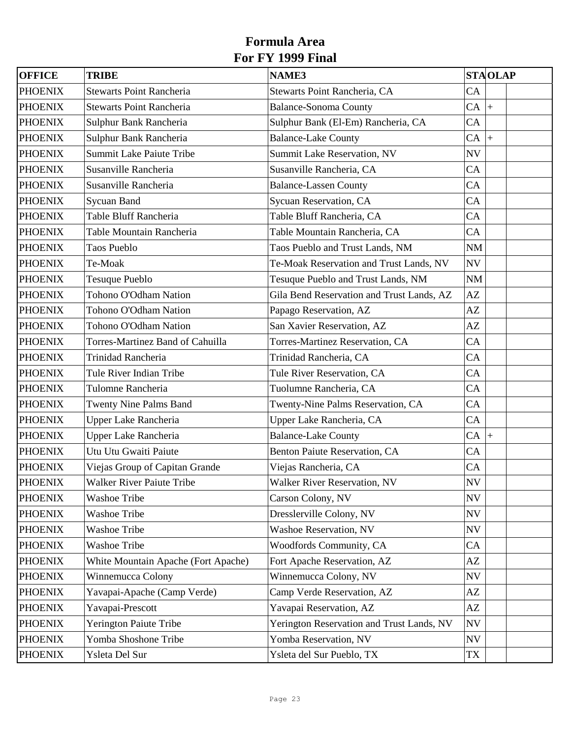| <b>OFFICE</b>  | <b>TRIBE</b>                            | <b>NAME3</b>                              |              | <b>STAOLAP</b> |
|----------------|-----------------------------------------|-------------------------------------------|--------------|----------------|
| <b>PHOENIX</b> | <b>Stewarts Point Rancheria</b>         | Stewarts Point Rancheria, CA              | CA           |                |
| <b>PHOENIX</b> | <b>Stewarts Point Rancheria</b>         | <b>Balance-Sonoma County</b>              | $CA$ +       |                |
| <b>PHOENIX</b> | Sulphur Bank Rancheria                  | Sulphur Bank (El-Em) Rancheria, CA        | CA           |                |
| <b>PHOENIX</b> | Sulphur Bank Rancheria                  | <b>Balance-Lake County</b>                | $CA \vert +$ |                |
| <b>PHOENIX</b> | <b>Summit Lake Paiute Tribe</b>         | Summit Lake Reservation, NV               | NV           |                |
| <b>PHOENIX</b> | Susanville Rancheria                    | Susanville Rancheria, CA                  | CA           |                |
| <b>PHOENIX</b> | Susanville Rancheria                    | <b>Balance-Lassen County</b>              | CA           |                |
| <b>PHOENIX</b> | Sycuan Band                             | Sycuan Reservation, CA                    | CA           |                |
| <b>PHOENIX</b> | Table Bluff Rancheria                   | Table Bluff Rancheria, CA                 | CA           |                |
| <b>PHOENIX</b> | Table Mountain Rancheria                | Table Mountain Rancheria, CA              | CA           |                |
| <b>PHOENIX</b> | <b>Taos Pueblo</b>                      | Taos Pueblo and Trust Lands, NM           | <b>NM</b>    |                |
| <b>PHOENIX</b> | Te-Moak                                 | Te-Moak Reservation and Trust Lands, NV   | NV           |                |
| <b>PHOENIX</b> | <b>Tesuque Pueblo</b>                   | Tesuque Pueblo and Trust Lands, NM        | NM           |                |
| <b>PHOENIX</b> | Tohono O'Odham Nation                   | Gila Bend Reservation and Trust Lands, AZ | AZ           |                |
| <b>PHOENIX</b> | Tohono O'Odham Nation                   | Papago Reservation, AZ                    | AZ           |                |
| <b>PHOENIX</b> | Tohono O'Odham Nation                   | San Xavier Reservation, AZ                | AZ           |                |
| <b>PHOENIX</b> | <b>Torres-Martinez Band of Cahuilla</b> | Torres-Martinez Reservation, CA           | CA           |                |
| <b>PHOENIX</b> | Trinidad Rancheria                      | Trinidad Rancheria, CA                    | CA           |                |
| <b>PHOENIX</b> | Tule River Indian Tribe                 | Tule River Reservation, CA                | CA           |                |
| <b>PHOENIX</b> | Tulomne Rancheria                       | Tuolumne Rancheria, CA                    | CA           |                |
| <b>PHOENIX</b> | <b>Twenty Nine Palms Band</b>           | Twenty-Nine Palms Reservation, CA         | CA           |                |
| <b>PHOENIX</b> | <b>Upper Lake Rancheria</b>             | Upper Lake Rancheria, CA                  | CA           |                |
| <b>PHOENIX</b> | Upper Lake Rancheria                    | <b>Balance-Lake County</b>                | $CA \vert +$ |                |
| <b>PHOENIX</b> | Utu Utu Gwaiti Paiute                   | Benton Paiute Reservation, CA             | CA           |                |
| <b>PHOENIX</b> | Viejas Group of Capitan Grande          | Viejas Rancheria, CA                      | CA           |                |
| <b>PHOENIX</b> | <b>Walker River Paiute Tribe</b>        | Walker River Reservation, NV              | NV           |                |
| <b>PHOENIX</b> | <b>Washoe Tribe</b>                     | Carson Colony, NV                         | <b>NV</b>    |                |
| <b>PHOENIX</b> | <b>Washoe Tribe</b>                     | Dresslerville Colony, NV                  | <b>NV</b>    |                |
| <b>PHOENIX</b> | <b>Washoe Tribe</b>                     | Washoe Reservation, NV                    | <b>NV</b>    |                |
| <b>PHOENIX</b> | <b>Washoe Tribe</b>                     | Woodfords Community, CA                   | CA           |                |
| <b>PHOENIX</b> | White Mountain Apache (Fort Apache)     | Fort Apache Reservation, AZ               | AZ           |                |
| <b>PHOENIX</b> | Winnemucca Colony                       | Winnemucca Colony, NV                     | NV           |                |
| <b>PHOENIX</b> | Yavapai-Apache (Camp Verde)             | Camp Verde Reservation, AZ                | AZ           |                |
| <b>PHOENIX</b> | Yavapai-Prescott                        | Yavapai Reservation, AZ                   | AZ           |                |
| <b>PHOENIX</b> | Yerington Paiute Tribe                  | Yerington Reservation and Trust Lands, NV | <b>NV</b>    |                |
| <b>PHOENIX</b> | Yomba Shoshone Tribe                    | Yomba Reservation, NV                     | <b>NV</b>    |                |
| <b>PHOENIX</b> | Ysleta Del Sur                          | Ysleta del Sur Pueblo, TX                 | TX           |                |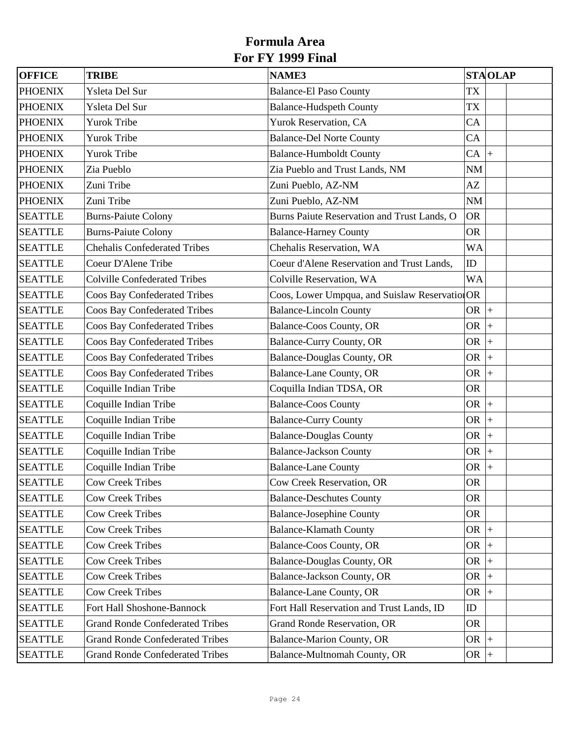| <b>OFFICE</b>  | <b>TRIBE</b>                           | <b>NAME3</b>                                   | <b>STAOLAP</b> |            |  |
|----------------|----------------------------------------|------------------------------------------------|----------------|------------|--|
| <b>PHOENIX</b> | Ysleta Del Sur                         | <b>Balance-El Paso County</b>                  | <b>TX</b>      |            |  |
| <b>PHOENIX</b> | Ysleta Del Sur                         | <b>Balance-Hudspeth County</b>                 | TX             |            |  |
| <b>PHOENIX</b> | <b>Yurok Tribe</b>                     | Yurok Reservation, CA                          | CA             |            |  |
| <b>PHOENIX</b> | <b>Yurok Tribe</b>                     | <b>Balance-Del Norte County</b>                | CA             |            |  |
| <b>PHOENIX</b> | <b>Yurok Tribe</b>                     | <b>Balance-Humboldt County</b>                 | $CA \vert +$   |            |  |
| <b>PHOENIX</b> | Zia Pueblo                             | Zia Pueblo and Trust Lands, NM                 | <b>NM</b>      |            |  |
| <b>PHOENIX</b> | Zuni Tribe                             | Zuni Pueblo, AZ-NM                             | AZ             |            |  |
| <b>PHOENIX</b> | Zuni Tribe                             | Zuni Pueblo, AZ-NM                             | NM             |            |  |
| <b>SEATTLE</b> | <b>Burns-Paiute Colony</b>             | Burns Paiute Reservation and Trust Lands, O    | <b>OR</b>      |            |  |
| <b>SEATTLE</b> | <b>Burns-Paiute Colony</b>             | <b>Balance-Harney County</b>                   | <b>OR</b>      |            |  |
| <b>SEATTLE</b> | <b>Chehalis Confederated Tribes</b>    | Chehalis Reservation, WA                       | <b>WA</b>      |            |  |
| <b>SEATTLE</b> | Coeur D'Alene Tribe                    | Coeur d'Alene Reservation and Trust Lands,     | ID             |            |  |
| <b>SEATTLE</b> | <b>Colville Confederated Tribes</b>    | Colville Reservation, WA                       | <b>WA</b>      |            |  |
| <b>SEATTLE</b> | <b>Coos Bay Confederated Tribes</b>    | Coos, Lower Umpqua, and Suislaw Reservation OR |                |            |  |
| <b>SEATTLE</b> | <b>Coos Bay Confederated Tribes</b>    | <b>Balance-Lincoln County</b>                  | OR $ +$        |            |  |
| <b>SEATTLE</b> | <b>Coos Bay Confederated Tribes</b>    | Balance-Coos County, OR                        | <b>OR</b>      | $+$        |  |
| <b>SEATTLE</b> | <b>Coos Bay Confederated Tribes</b>    | <b>Balance-Curry County, OR</b>                | OR $ +$        |            |  |
| <b>SEATTLE</b> | <b>Coos Bay Confederated Tribes</b>    | <b>Balance-Douglas County, OR</b>              | <b>OR</b>      | $\ddot{+}$ |  |
| <b>SEATTLE</b> | <b>Coos Bay Confederated Tribes</b>    | <b>Balance-Lane County, OR</b>                 | <b>OR</b>      | $\ddot{+}$ |  |
| <b>SEATTLE</b> | Coquille Indian Tribe                  | Coquilla Indian TDSA, OR                       | <b>OR</b>      |            |  |
| <b>SEATTLE</b> | Coquille Indian Tribe                  | <b>Balance-Coos County</b>                     | <b>OR</b>      | $ +$       |  |
| <b>SEATTLE</b> | Coquille Indian Tribe                  | <b>Balance-Curry County</b>                    | OR $ +$        |            |  |
| <b>SEATTLE</b> | Coquille Indian Tribe                  | <b>Balance-Douglas County</b>                  | <b>OR</b>      | $\ddot{+}$ |  |
| <b>SEATTLE</b> | Coquille Indian Tribe                  | <b>Balance-Jackson County</b>                  | OR $ +$        |            |  |
| <b>SEATTLE</b> | Coquille Indian Tribe                  | <b>Balance-Lane County</b>                     | <b>OR</b>      | $^{+}$     |  |
| <b>SEATTLE</b> | <b>Cow Creek Tribes</b>                | Cow Creek Reservation, OR                      | <b>OR</b>      |            |  |
| <b>SEATTLE</b> | <b>Cow Creek Tribes</b>                | <b>Balance-Deschutes County</b>                | <b>OR</b>      |            |  |
| <b>SEATTLE</b> | <b>Cow Creek Tribes</b>                | <b>Balance-Josephine County</b>                | <b>OR</b>      |            |  |
| <b>SEATTLE</b> | <b>Cow Creek Tribes</b>                | <b>Balance-Klamath County</b>                  | OR             |            |  |
| <b>SEATTLE</b> | <b>Cow Creek Tribes</b>                | Balance-Coos County, OR                        | <b>OR</b>      | $+$        |  |
| <b>SEATTLE</b> | <b>Cow Creek Tribes</b>                | <b>Balance-Douglas County, OR</b>              | <b>OR</b>      | $+$        |  |
| <b>SEATTLE</b> | <b>Cow Creek Tribes</b>                | Balance-Jackson County, OR                     | OR             | $+$        |  |
| <b>SEATTLE</b> | <b>Cow Creek Tribes</b>                | <b>Balance-Lane County, OR</b>                 | <b>OR</b>      |            |  |
| <b>SEATTLE</b> | Fort Hall Shoshone-Bannock             | Fort Hall Reservation and Trust Lands, ID      | ID             |            |  |
| <b>SEATTLE</b> | <b>Grand Ronde Confederated Tribes</b> | Grand Ronde Reservation, OR                    | <b>OR</b>      |            |  |
| <b>SEATTLE</b> | <b>Grand Ronde Confederated Tribes</b> | Balance-Marion County, OR                      | OR $ +$        |            |  |
| <b>SEATTLE</b> | <b>Grand Ronde Confederated Tribes</b> | Balance-Multnomah County, OR                   | OR $ +$        |            |  |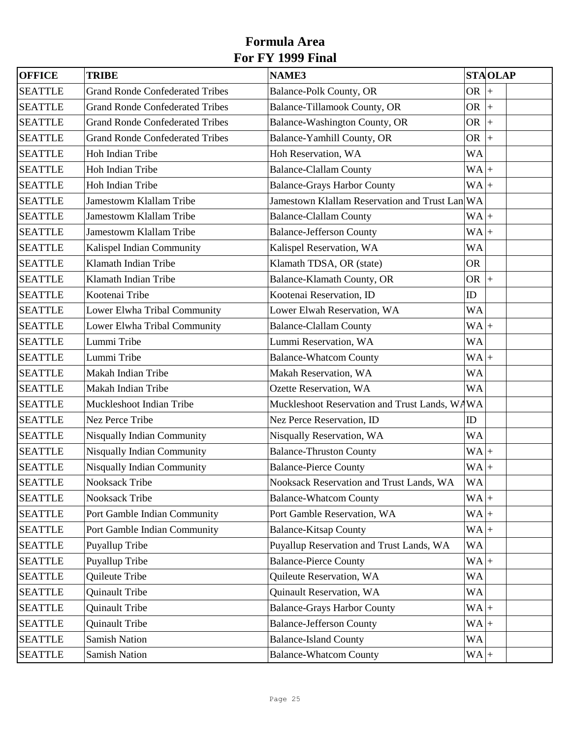| <b>OFFICE</b>  | <b>TRIBE</b>                           | <b>NAME3</b>                                   |           | <b>STAOLAP</b> |
|----------------|----------------------------------------|------------------------------------------------|-----------|----------------|
| <b>SEATTLE</b> | <b>Grand Ronde Confederated Tribes</b> | <b>Balance-Polk County, OR</b>                 | <b>OR</b> | $\ddot{}$      |
| <b>SEATTLE</b> | <b>Grand Ronde Confederated Tribes</b> | Balance-Tillamook County, OR                   | OR $ +$   |                |
| <b>SEATTLE</b> | <b>Grand Ronde Confederated Tribes</b> | Balance-Washington County, OR                  | OR        | $\ddot{+}$     |
| <b>SEATTLE</b> | <b>Grand Ronde Confederated Tribes</b> | Balance-Yamhill County, OR                     | <b>OR</b> | $\ddot{+}$     |
| <b>SEATTLE</b> | Hoh Indian Tribe                       | Hoh Reservation, WA                            | <b>WA</b> |                |
| <b>SEATTLE</b> | Hoh Indian Tribe                       | <b>Balance-Clallam County</b>                  | $WA +$    |                |
| <b>SEATTLE</b> | Hoh Indian Tribe                       | <b>Balance-Grays Harbor County</b>             | $WA +$    |                |
| <b>SEATTLE</b> | <b>Jamestowm Klallam Tribe</b>         | Jamestown Klallam Reservation and Trust Lan WA |           |                |
| <b>SEATTLE</b> | Jamestowm Klallam Tribe                | <b>Balance-Clallam County</b>                  | $WA +$    |                |
| <b>SEATTLE</b> | Jamestowm Klallam Tribe                | <b>Balance-Jefferson County</b>                | $WA +$    |                |
| <b>SEATTLE</b> | Kalispel Indian Community              | Kalispel Reservation, WA                       | <b>WA</b> |                |
| <b>SEATTLE</b> | Klamath Indian Tribe                   | Klamath TDSA, OR (state)                       | <b>OR</b> |                |
| <b>SEATTLE</b> | Klamath Indian Tribe                   | Balance-Klamath County, OR                     | OR $ +$   |                |
| <b>SEATTLE</b> | Kootenai Tribe                         | Kootenai Reservation, ID                       | ID        |                |
| <b>SEATTLE</b> | Lower Elwha Tribal Community           | Lower Elwah Reservation, WA                    | <b>WA</b> |                |
| <b>SEATTLE</b> | Lower Elwha Tribal Community           | <b>Balance-Clallam County</b>                  | $WA$ +    |                |
| <b>SEATTLE</b> | Lummi Tribe                            | Lummi Reservation, WA                          | <b>WA</b> |                |
| <b>SEATTLE</b> | Lummi Tribe                            | <b>Balance-Whatcom County</b>                  | $WA +$    |                |
| <b>SEATTLE</b> | Makah Indian Tribe                     | Makah Reservation, WA                          | <b>WA</b> |                |
| <b>SEATTLE</b> | Makah Indian Tribe                     | Ozette Reservation, WA                         | <b>WA</b> |                |
| <b>SEATTLE</b> | Muckleshoot Indian Tribe               | Muckleshoot Reservation and Trust Lands, WAWA  |           |                |
| <b>SEATTLE</b> | <b>Nez Perce Tribe</b>                 | Nez Perce Reservation, ID                      | ID        |                |
| <b>SEATTLE</b> | Nisqually Indian Community             | Nisqually Reservation, WA                      | <b>WA</b> |                |
| <b>SEATTLE</b> | Nisqually Indian Community             | <b>Balance-Thruston County</b>                 | $WA +$    |                |
| <b>SEATTLE</b> | Nisqually Indian Community             | <b>Balance-Pierce County</b>                   | $WA +$    |                |
| <b>SEATTLE</b> | Nooksack Tribe                         | Nooksack Reservation and Trust Lands, WA       | <b>WA</b> |                |
| <b>SEATTLE</b> | Nooksack Tribe                         | <b>Balance-Whatcom County</b>                  | $WA +$    |                |
| <b>SEATTLE</b> | Port Gamble Indian Community           | Port Gamble Reservation, WA                    | $WA +$    |                |
| <b>SEATTLE</b> | Port Gamble Indian Community           | <b>Balance-Kitsap County</b>                   | $WA +$    |                |
| <b>SEATTLE</b> | Puyallup Tribe                         | Puyallup Reservation and Trust Lands, WA       | WA        |                |
| <b>SEATTLE</b> | Puyallup Tribe                         | <b>Balance-Pierce County</b>                   | $WA +$    |                |
| <b>SEATTLE</b> | Quileute Tribe                         | Quileute Reservation, WA                       | <b>WA</b> |                |
| <b>SEATTLE</b> | Quinault Tribe                         | Quinault Reservation, WA                       | WA        |                |
| <b>SEATTLE</b> | Quinault Tribe                         | <b>Balance-Grays Harbor County</b>             | $WA +$    |                |
| <b>SEATTLE</b> | Quinault Tribe                         | <b>Balance-Jefferson County</b>                | $WA +$    |                |
| <b>SEATTLE</b> | <b>Samish Nation</b>                   | <b>Balance-Island County</b>                   | <b>WA</b> |                |
| <b>SEATTLE</b> | <b>Samish Nation</b>                   | <b>Balance-Whatcom County</b>                  | $WA +$    |                |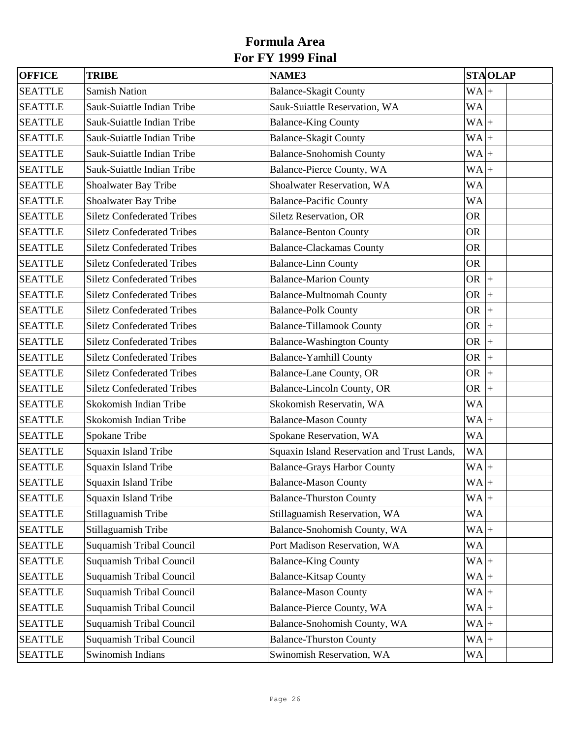| <b>OFFICE</b>  | <b>TRIBE</b>                      | <b>NAME3</b>                                |           | <b>STAOLAP</b>     |  |
|----------------|-----------------------------------|---------------------------------------------|-----------|--------------------|--|
| <b>SEATTLE</b> | <b>Samish Nation</b>              | <b>Balance-Skagit County</b>                | $WA +$    |                    |  |
| <b>SEATTLE</b> | Sauk-Suiattle Indian Tribe        | Sauk-Suiattle Reservation, WA               | <b>WA</b> |                    |  |
| <b>SEATTLE</b> | Sauk-Suiattle Indian Tribe        | <b>Balance-King County</b>                  | $WA +$    |                    |  |
| <b>SEATTLE</b> | Sauk-Suiattle Indian Tribe        | <b>Balance-Skagit County</b>                | $WA +$    |                    |  |
| <b>SEATTLE</b> | Sauk-Suiattle Indian Tribe        | <b>Balance-Snohomish County</b>             | $WA +$    |                    |  |
| <b>SEATTLE</b> | Sauk-Suiattle Indian Tribe        | Balance-Pierce County, WA                   | $WA +$    |                    |  |
| <b>SEATTLE</b> | Shoalwater Bay Tribe              | Shoalwater Reservation, WA                  | <b>WA</b> |                    |  |
| <b>SEATTLE</b> | Shoalwater Bay Tribe              | <b>Balance-Pacific County</b>               | <b>WA</b> |                    |  |
| <b>SEATTLE</b> | <b>Siletz Confederated Tribes</b> | Siletz Reservation, OR                      | <b>OR</b> |                    |  |
| <b>SEATTLE</b> | <b>Siletz Confederated Tribes</b> | <b>Balance-Benton County</b>                | <b>OR</b> |                    |  |
| <b>SEATTLE</b> | <b>Siletz Confederated Tribes</b> | <b>Balance-Clackamas County</b>             | <b>OR</b> |                    |  |
| <b>SEATTLE</b> | <b>Siletz Confederated Tribes</b> | <b>Balance-Linn County</b>                  | <b>OR</b> |                    |  |
| <b>SEATTLE</b> | <b>Siletz Confederated Tribes</b> | <b>Balance-Marion County</b>                | OR $ +$   |                    |  |
| <b>SEATTLE</b> | <b>Siletz Confederated Tribes</b> | <b>Balance-Multnomah County</b>             | OR $ +$   |                    |  |
| <b>SEATTLE</b> | <b>Siletz Confederated Tribes</b> | <b>Balance-Polk County</b>                  | <b>OR</b> | $\left  + \right $ |  |
| <b>SEATTLE</b> | <b>Siletz Confederated Tribes</b> | <b>Balance-Tillamook County</b>             | <b>OR</b> | $\ddot{+}$         |  |
| <b>SEATTLE</b> | <b>Siletz Confederated Tribes</b> | <b>Balance-Washington County</b>            | OR $ +$   |                    |  |
| <b>SEATTLE</b> | <b>Siletz Confederated Tribes</b> | <b>Balance-Yamhill County</b>               | <b>OR</b> | $\ddot{+}$         |  |
| <b>SEATTLE</b> | <b>Siletz Confederated Tribes</b> | <b>Balance-Lane County, OR</b>              | <b>OR</b> | $\left  + \right $ |  |
| <b>SEATTLE</b> | <b>Siletz Confederated Tribes</b> | Balance-Lincoln County, OR                  | OR        | $\left  + \right $ |  |
| <b>SEATTLE</b> | Skokomish Indian Tribe            | Skokomish Reservatin, WA                    | <b>WA</b> |                    |  |
| <b>SEATTLE</b> | Skokomish Indian Tribe            | <b>Balance-Mason County</b>                 | $WA +$    |                    |  |
| <b>SEATTLE</b> | Spokane Tribe                     | Spokane Reservation, WA                     | <b>WA</b> |                    |  |
| <b>SEATTLE</b> | Squaxin Island Tribe              | Squaxin Island Reservation and Trust Lands, | <b>WA</b> |                    |  |
| <b>SEATTLE</b> | Squaxin Island Tribe              | <b>Balance-Grays Harbor County</b>          | $WA +$    |                    |  |
| <b>SEATTLE</b> | Squaxin Island Tribe              | <b>Balance-Mason County</b>                 | $WA$ +    |                    |  |
| <b>SEATTLE</b> | Squaxin Island Tribe              | <b>Balance-Thurston County</b>              | $WA +$    |                    |  |
| <b>SEATTLE</b> | Stillaguamish Tribe               | Stillaguamish Reservation, WA               | WA        |                    |  |
| <b>SEATTLE</b> | Stillaguamish Tribe               | Balance-Snohomish County, WA                | $WA +$    |                    |  |
| <b>SEATTLE</b> | Suquamish Tribal Council          | Port Madison Reservation, WA                | WA        |                    |  |
| <b>SEATTLE</b> | Suquamish Tribal Council          | <b>Balance-King County</b>                  | $WA +$    |                    |  |
| <b>SEATTLE</b> | Suquamish Tribal Council          | <b>Balance-Kitsap County</b>                | $WA +$    |                    |  |
| <b>SEATTLE</b> | Suquamish Tribal Council          | <b>Balance-Mason County</b>                 | $WA +$    |                    |  |
| <b>SEATTLE</b> | Suquamish Tribal Council          | Balance-Pierce County, WA                   | $WA +$    |                    |  |
| <b>SEATTLE</b> | Suquamish Tribal Council          | Balance-Snohomish County, WA                | $WA +$    |                    |  |
| <b>SEATTLE</b> | Suquamish Tribal Council          | <b>Balance-Thurston County</b>              | $WA +$    |                    |  |
| <b>SEATTLE</b> | Swinomish Indians                 | Swinomish Reservation, WA                   | WA        |                    |  |